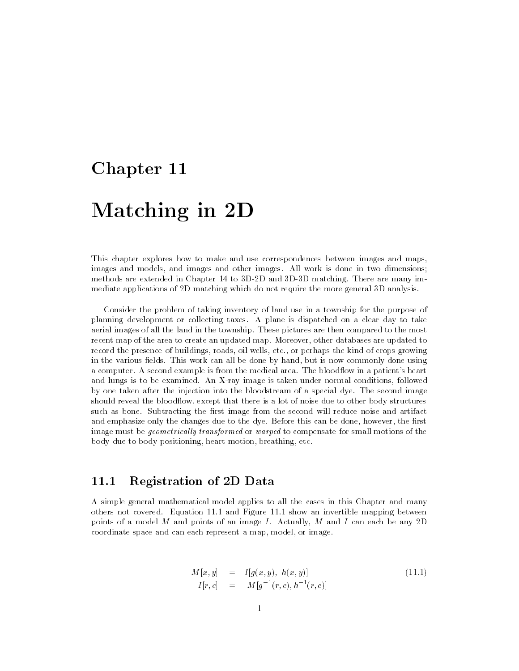# Chapter 11

# Matching in 2D

This chapter explores how to make and use correspondences between images and maps, images and models, and images and other images. All work is done in two dimensions; methods are extended in Chapter 14 to 3D-2D and 3D-3D matching. There are many immediate applications of 2D matching which do not require the more general 3D analysis.

Consider the problem of taking inventory of land use in a township for the purpose of planning development or collecting taxes. A plane is dispatched on a clear day to take aerial images of all the land in the township. These pictures are then compared to the most recent map of the area to create an updated map. Moreover, other databases are updated to record the presence of buildings, roads, oil wells, etc., or perhaps the kind of crops growing in the various fields. This work can all be done by hand, but is now commonly done using a computer. A second example is from the medical area. The bloodflow in a patient's heart and lungs is to be examined. An X-ray image is taken under normal conditions, followed by one taken after the injection into the bloodstream of a special dye. The second image should reveal the bloodflow, except that there is a lot of noise due to other body structures such as bone. Subtracting the first image from the second will reduce noise and artifact and emphasize only the changes due to the dye. Before this can be done, however, the first image must be *geometrically transformed* or *warped* to compensate for small motions of the body due to body positioning, heart motion, breathing, etc.

#### Registration of 2D Data 11.1

A simple general mathematical model applies to all the cases in this Chapter and many others not covered. Equation 11.1 and Figure 11.1 show an invertible mapping between points of a model  $M$  and points of an image  $I$ . Actually,  $M$  and  $I$  can each be any 2D coordinate space and can each represent a map, model, or image.

$$
M[x, y] = I[g(x, y), h(x, y)]
$$
  
\n
$$
I[r, c] = M[g^{-1}(r, c), h^{-1}(r, c)]
$$
\n(11.1)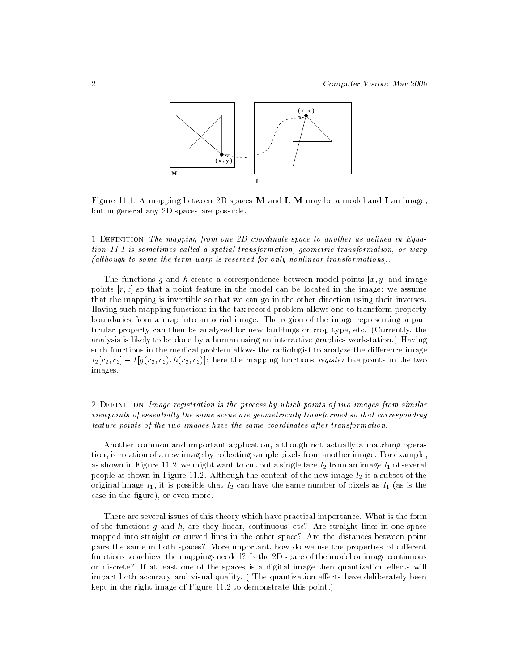

Figure 11.1: A mapping between 2D spaces  $M$  and  $I$ .  $M$  may be a model and  $I$  an image, but in general any 2D spaces are possible.

1 DEFINITION The mapping from one 2D coordinate space to another as defined in Equation 11.1 is sometimes called a spatial transformation, geometric transformation, or warp (although to some the term warp is reserved for only nonlinear transformations).

The functions g and h create a correspondence between model points  $[x, y]$  and image points  $[r, c]$  so that a point feature in the model can be located in the image: we assume that the mapping is invertible so that we can go in the other direction using their inverses. Having such mapping functions in the tax record problem allows one to transform property boundaries from a map into an aerial image. The region of the image representing a particular property can then be analyzed for new buildings or crop type, etc. (Currently, the analysis is likely to be done by a human using an interactive graphics workstation.) Having such functions in the medical problem allows the radiologist to analyze the difference image  $I_2[r_2, c_2] - I[g(r_2, c_2), h(r_2, c_2)]$ : here the mapping functions register like points in the two images.

## 2 DEFINITION Image registration is the process by which points of two images from similar viewpoints of essentially the same scene are geometrically transformed so that corresponding feature points of the two images have the same coordinates after transformation.

Another common and important application, although not actually a matching operation, is creation of a new image by collecting sample pixels from another image. For example, as shown in Figure 11.2, we might want to cut out a single face  $I_2$  from an image  $I_1$  of several people as shown in Figure 11.2. Although the content of the new image  $I_2$  is a subset of the original image  $I_1$ , it is possible that  $I_2$  can have the same number of pixels as  $I_1$  (as is the case in the figure), or even more.

There are several issues of this theory which have practical importance. What is the form of the functions  $g$  and  $h$ , are they linear, continuous, etc? Are straight lines in one space mapped into straight or curved lines in the other space? Are the distances between point pairs the same in both spaces? More important, how do we use the properties of different functions to achieve the mappings needed? Is the 2D space of the model or image continuous or discrete? If at least one of the spaces is a digital image then quantization effects will impact both accuracy and visual quality. (The quantization effects have deliberately been kept in the right image of Figure 11.2 to demonstrate this point.)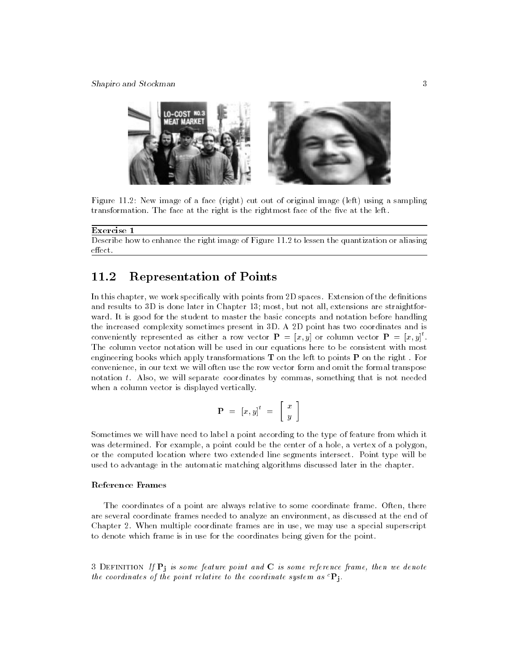

Figure 11.2: New image of a face (right) cut out of original image (left) using a sampling transformation. The face at the right is the rightmost face of the five at the left.

#### Exercise 1

Describe how to enhance the right image of Figure 11.2 to lessen the quantization or aliasing  $effect.$ 

## 11.2 Representation of Points

In this chapter, we work specifically with points from 2D spaces. Extension of the definitions and results to 3D is done later in Chapter 13; most, but not all, extensions are straightfor ward. It is good for the student to master the basic concepts and notation before handling the increased complexity sometimes present in 3D. A 2D point has two coordinates and is conveniently represented as either a row vector  $\mathbf{P} \, = \, |x,y|$  or column vector  $\mathbf{P} \, = \, |x,y|$  . The column vector notation will be used in our equations here to be consistent with most engineering books which apply transformations  $T$  on the left to points  $P$  on the right. For convenience, in our text we will often use the row vector form and omit the formal transpose notation t. Also, we will separate coordinates by commas, something that is not needed when a column vector is displayed vertically.

$$
\mathbf{P}~=~\left[x,y\right]^{t}~=~\left[ \begin{array}{c} x \\ y \end{array} \right]
$$

Sometimes we will have need to label a point according to the type of feature from which it was determined. For example, a point could be the center of a hole, a vertex of a polygon, or the computed location where two extended line segments intersect. Point type will be used to advantage in the automatic matching algorithms discussed later in the chapter.

#### Reference Frames

The coordinates of a point are always relative to some coordinate frame. Often, there are several coordinate frames needed to analyze an environment, as discussed at the end of Chapter 2. When multiple coordinate frames are in use, we may use a special superscript to denote which frame is in use for the coordinates being given for the point.

3 DEFINITION If  $P_i$  is some feature point and C is some reference frame, then we denote the coordinates of the point relative to the coordinate system as  ${}^{c}P_{j}$ .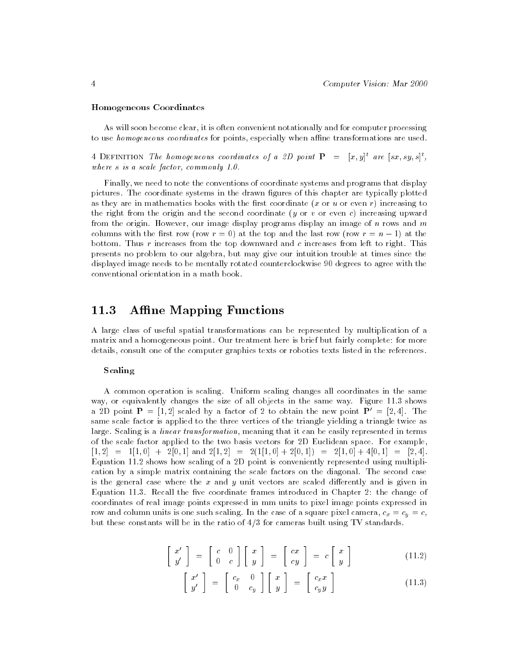#### Homogeneous Coordinates

As will soon become clear, it is often convenient notationally and for computer processing to use *homogeneous coordinates* for points, especially when affine transformations are used.

 $4$  DEFINITION The homogeneous coordinates of a 2D point  $\mathbf{F}^- = -|x,y|$  are  $[sx,sy,s]$  , where s is a scale factor, commonly 1.0.

Finally, we need to note the conventions of coordinate systems and programs that display pictures. The coordinate systems in the drawn figures of this chapter are typically plotted as they are in mathematics books with the first coordinate  $(x$  or  $u$  or even r) increasing to the right from the origin and the second coordinate (y or v or even c) increasing upward from the origin. However, our image display programs display an image of n rows and  $m$ columns with the row rest row (row) at the last role and the top and the last row rest row rest row r bottom. Thus  $r$  increases from the top downward and  $c$  increases from left to right. This presents no problem to our algebra, but may give our intuition trouble at times since the displayed image needs to be mentally rotated counterclockwise 90 degrees to agree with the conventional orientation in a math book.

## 11.3 Affine Mapping Functions

A large class of useful spatial transformations can be represented by multiplication of a matrix and a homogeneous point. Our treatment here is brief but fairly complete: for more details, consult one of the computer graphics texts or robotics texts listed in the references.

#### Scaling

A common operation is scaling. Uniform scaling changes all coordinates in the same way, or equivalently changes the size of all objects in the same way. Figure 11.3 shows a 2D point  $P = [1, 2]$  scaled by a factor of 2 to obtain the new point  $P' = [2, 4]$ . The same scale factor is applied to the three vertices of the triangle yielding a triangle twice as large. Scaling is a *linear transformation*, meaning that it can be easily represented in terms of the scale factor applied to the two basis vectors for 2D Euclidean space. For example,  $[1, 2] = 1[1, 0] + 2[0, 1]$  and  $2[1, 2] = 2(1[1, 0] + 2[0, 1]) = 2[1, 0] + 4[0, 1] = [2, 4].$ Equation 11.2 shows how scaling of a 2D point is conveniently represented using multiplication by a simple matrix containing the scale factors on the diagonal. The second case is the general case where the  $x$  and  $y$  unit vectors are scaled differently and is given in Equation 11.3. Recall the five coordinate frames introduced in Chapter 2: the change of coordinates of real image points expressed in mm units to pixel image points expressed in row and column units is one such scaling. In the case of a square pixel camera,  $c_x = c_y = c$ , but these constants will be in the ratio of  $4/3$  for cameras built using TV standards.

$$
\begin{bmatrix} x' \\ y' \end{bmatrix} = \begin{bmatrix} c & 0 \\ 0 & c \end{bmatrix} \begin{bmatrix} x \\ y \end{bmatrix} = \begin{bmatrix} cx \\ cy \end{bmatrix} = c \begin{bmatrix} x \\ y \end{bmatrix}
$$
 (11.2)

$$
\left[\begin{array}{c} x' \\ y' \end{array}\right] = \left[\begin{array}{cc} c_x & 0 \\ 0 & c_y \end{array}\right] \left[\begin{array}{c} x \\ y \end{array}\right] = \left[\begin{array}{c} c_x x \\ c_y y \end{array}\right] \tag{11.3}
$$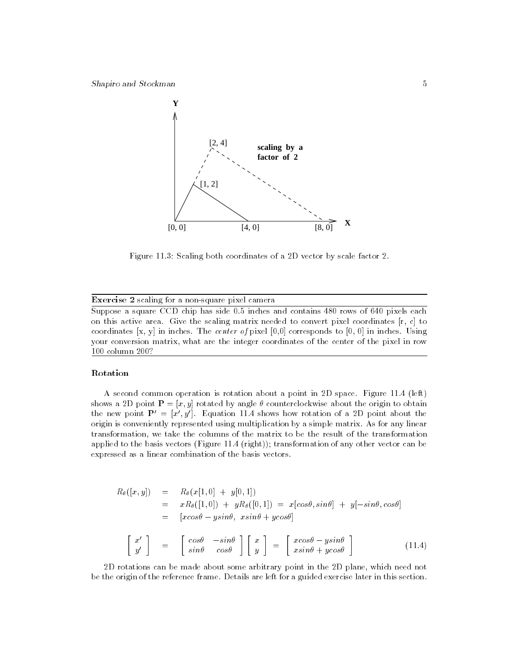

Figure 11.3: Scaling both coordinates of a 2D vector by scale factor 2.

#### Exercise 2 scaling for a non-square pixel camera

Suppose a square CCD chip has side 0.5 inches and contains 480 rows of 640 pixels each on this active area. Give the scaling matrix needed to convert pixel coordinates [r, c] to coordinates [x, y] in inches. The center of pixel [0,0] corresponds to [0, 0] in inches. Using your conversion matrix, what are the integer coordinates of the center of the pixel in row 100 column 200?

#### Rotation

A second common operation is rotation about a point in 2D space. Figure 11.4 (left) shows a 2D point  $P = [x, y]$  rotated by angle  $\theta$  counterclockwise about the origin to obtain the new point  $P' = [x', y']$ . Equation 11.4 shows how rotation of a 2D point about the origin is conveniently represented using multiplication by a simple matrix. As for any linear transformation, we take the columns of the matrix to be the result of the transformation applied to the basis vectors (Figure 11.4 (right)); transformation of any other vector can be expressed as a linear combination of the basis vectors.

$$
R_{\theta}([x, y]) = R_{\theta}(x[1, 0] + y[0, 1])
$$
  
\n
$$
= x R_{\theta}([1, 0]) + y R_{\theta}([0, 1]) = x[cos\theta, sin\theta] + y[-sin\theta, cos\theta]
$$
  
\n
$$
= [xcos\theta - y sin\theta, x sin\theta + y cos\theta]
$$
  
\n
$$
\begin{bmatrix} x' \\ y' \end{bmatrix} = \begin{bmatrix} cos\theta & -sin\theta \\ sin\theta & cos\theta \end{bmatrix} \begin{bmatrix} x \\ y \end{bmatrix} = \begin{bmatrix} x cos\theta - y sin\theta \\ x sin\theta + y cos\theta \end{bmatrix}
$$
(11.4)

2D rotations can be made about some arbitrary point in the 2D plane, which need not be the origin of the reference frame. Details are left for a guided exercise later in this section.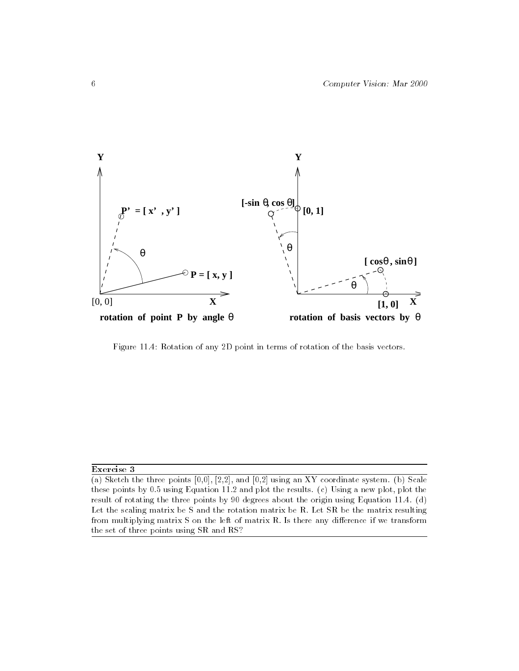

Figure 11.4: Rotation of any 2D point in terms of rotation of the basis vectors.

#### Exercise 3

(a) Sketch the three points  $[0,0]$ ,  $[2,2]$ , and  $[0,2]$  using an XY coordinate system. (b) Scale these points by 0.5 using Equation 11.2 and plot the results. (c) Using a new plot, plot the result of rotating the three points by 90 degrees about the origin using Equation 11.4. (d) Let the scaling matrix be S and the rotation matrix be R. Let SR be the matrix resulting from multiplying matrix  $S$  on the left of matrix  $R$ . Is there any difference if we transform the set of three points using SR and RS?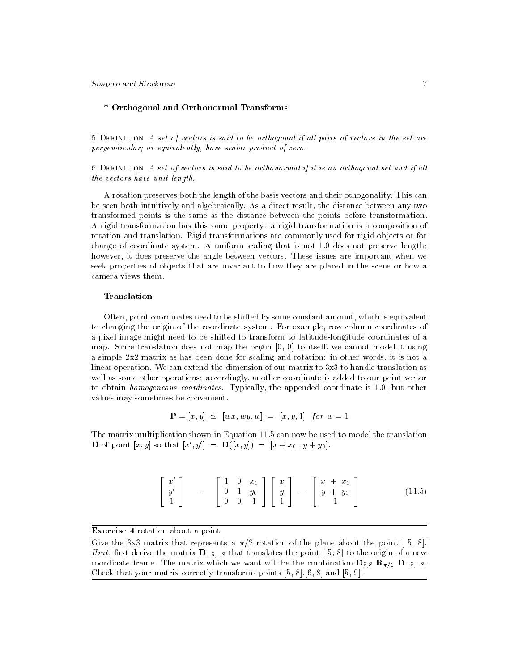Shapiro and Stockman 7

## \* Orthogonal and Orthonormal Transforms

 $5$  DEFINITION A set of vectors is said to be orthogonal if all pairs of vectors in the set are perpendicular; or equivalently, have scalar product of zero.

6 Definition A set of vectors is said to be orthonormal if it is an orthogonal set and if al l the vectors have unit length.

A rotation preserves both the length of the basis vectors and their othogonality. This can be seen both intuitively and algebraically. As a direct result, the distance between any two transformed points is the same as the distance between the points before transformation. A rigid transformation has this same property: a rigid transformation is a composition of rotation and translation. Rigid transformations are commonly used for rigid objects or for change of coordinate system. A uniform scaling that is not 1.0 does not preserve length; however, it does preserve the angle between vectors. These issues are important when we seek properties of objects that are invariant to how they are placed in the scene or how a camera views them.

#### Translation

Often, point coordinates need to be shifted by some constant amount, which is equivalent to changing the origin of the coordinate system. For example, row-column coordinates of a pixel image might need to be shifted to transform to latitude-longitude coordinates of a map. Since translation does not map the origin  $[0, 0]$  to itself, we cannot model it using a simple 2x2 matrix as has been done for scaling and rotation: in other words, it is not a linear operation. We can extend the dimension of our matrix to 3x3 to handle translation as well as some other operations: accordingly, another coordinate is added to our point vector to obtain homogeneous coordinates. Typically, the appended coordinate is 1.0, but other values may sometimes be convenient.

$$
\mathbf{P} = [x, y] \simeq [wx, wy, w] = [x, y, 1] \text{ for } w = 1
$$

The matrix multiplication shown in Equation 11.5 can now be used to model the translation **D** of point  $[x, y]$  so that  $[x', y'] = D([x, y]) = [x + x_0, y + y_0].$ 

$$
\left[\begin{array}{c}x'\\y'\\1\end{array}\right] = \left[\begin{array}{ccc}1&0&x_0\\0&1&y_0\\0&0&1\end{array}\right] \left[\begin{array}{c}x\\y\\1\end{array}\right] = \left[\begin{array}{c}x+x_0\\y+y_0\\1\end{array}\right] \qquad (11.5)
$$

Exercise 4 rotation about a point

Give the 3x3 matrix that represents a  $\pi/2$  rotation of the plane about the point [5, 8]. *Hint*: first derive the matrix  $D_{-5,-8}$  that translates the point [5, 8] to the origin of a new coordinate frame. The matrix which we want will be the combination  $\mathbf{D}_{5,8}$   $\mathbf{R}_{\pi/2}$   $\mathbf{D}_{-5,-8}$ . Check that your matrix correctly transforms points [5, 8],[6, 8] and [5, 9].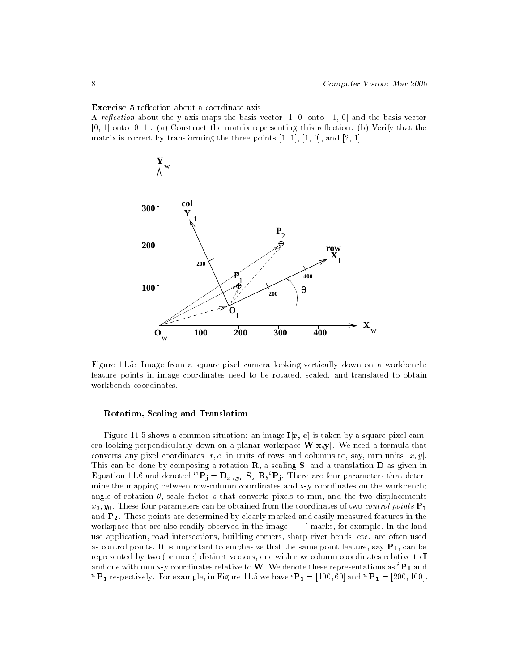Exercise 5 reflection about a coordinate axis

A reflection about the y-axis maps the basis vector  $[1, 0]$  onto  $[-1, 0]$  and the basis vector  $[0, 1]$  onto  $[0, 1]$ . (a) Construct the matrix representing this reflection. (b) Verify that the matrix is correct by transforming the three points  $[1, 1]$ ,  $[1, 0]$ , and  $[2, 1]$ .



Figure 11.5: Image from a square-pixel camera looking vertically down on a workbench: feature points in image coordinates need to be rotated, scaled, and translated to obtain workbench coordinates.

#### Rotation, Scaling and Translation

Figure 11.5 shows a common situation: an image  $I[r, c]$  is taken by a square-pixel camera looking perpendicularly down on a planar workspace  $W[x,y]$ . We need a formula that converts any pixel coordinates  $[r, c]$  in units of rows and columns to, say, mm units  $[x, y]$ . This can be done by composing a rotation  $R$ , a scaling  $S$ , and a translation  $D$  as given in equation 11.6 and denoted  $\mathbf{r_j} = \mathbf{D}_{x_0,y_0}$   $\mathbf{s_s}$   $\mathbf{R}_{\theta}$   $\mathbf{r_j}$ . There are four parameters that determine the mapping between row-column coordinates and x-y coordinates on the workbench; angle of rotation  $\theta$ , scale factor s that converts pixels to mm, and the two displacements  $x_0, y_0$ . These four parameters can be obtained from the coordinates of two *control points*  $P_1$ and  $P_2$ . These points are determined by clearly marked and easily measured features in the workspace that are also readily observed in the image  $-$  '+' marks, for example. In the land use application, road intersections, building corners, sharp river bends, etc. are often used as control points. It is important to emphasize that the same point feature, say  $P_1$ , can be represented by two (or more) distinct vectors, one with row-column coordinates relative to I and one with mm x-y coordinates relative to W. We denote these representations as  ${}^{i}P_1$  and **P**<sub>1</sub> respectively. For example, in Figure 11.5 we have  $P_1 = [100, 00]$  and  $P_1 = [200, 100]$ .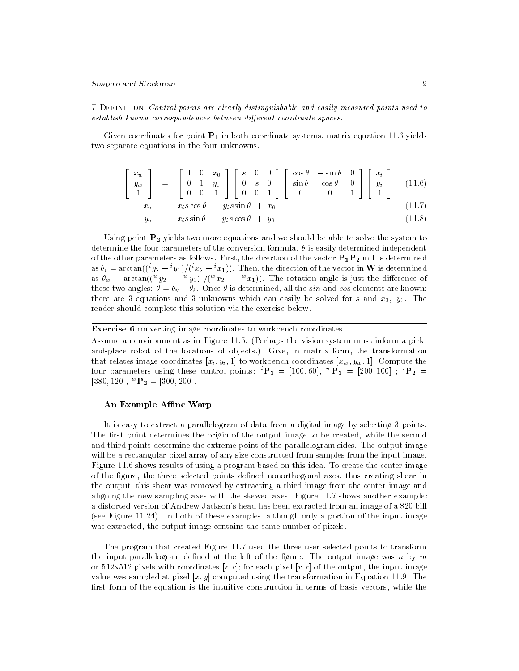7 Definition Control points are clearly distinguishable and easily measured points used to establish known correspondences between different coordinate spaces.

Given coordinates for point  $P_1$  in both coordinate systems, matrix equation 11.6 yields two separate equations in the four unknowns.

$$
\begin{bmatrix} x_w \\ y_w \\ 1 \end{bmatrix} = \begin{bmatrix} 1 & 0 & x_0 \\ 0 & 1 & y_0 \\ 0 & 0 & 1 \end{bmatrix} \begin{bmatrix} s & 0 & 0 \\ 0 & s & 0 \\ 0 & 0 & 1 \end{bmatrix} \begin{bmatrix} \cos \theta & -\sin \theta & 0 \\ \sin \theta & \cos \theta & 0 \\ 0 & 0 & 1 \end{bmatrix} \begin{bmatrix} x_i \\ y_i \\ 1 \end{bmatrix}
$$
(11.6)  

$$
x_w = x_i s \cos \theta - y_i s \sin \theta + x_0
$$
(11.7)

$$
y_w = x_i s \sin \theta + y_i s \cos \theta + y_0 \tag{11.8}
$$

Using point  $P_2$  yields two more equations and we should be able to solve the system to determine the four parameters of the conversion formula.  $\theta$  is easily determined independent of the other parameters as follows. First, the direction of the vector  $P_1P_2$  in I is determined as  $v_i = \arctan((\lceil y_2 \rceil - \lceil y_1 \rceil)/\lceil x_2 \rceil - \lceil x_1 \rceil)$ . Then, the direction of the vector in W is determined as  $v_w$   $=$  arctan((" $y_2$   $-$  " $y_1$ ) /(" $x_2$   $-$  " $x_1$ )). The rotation angle is just the difference of these two angles:  $\theta = \theta_w - \theta_i$ . Once  $\theta$  is determined, all the sin and cos elements are known: there are 3 equations and 3 unknowns which can easily be solved for s and  $x_0$ ,  $y_0$ . The reader should complete this solution via the exercise below.

Exercise 6 converting image coordinates to workbench coordinates

Assume an environment as in Figure 11.5. (Perhaps the vision system must inform a pickand-place robot of the locations of objects.) Give, in matrix form, the transformation that relates image coordinates  $[x_i, y_i, 1]$  to workbench coordinates  $[x_w, y_w, 1]$ . Compute the four parameters using these control points:  ${}^{i}\mathbf{P_{1}} = [100, 60],$   ${}^{w}\mathbf{P_{1}} = [200, 100]$ ;  ${}^{i}\mathbf{P_{2}} =$  $[380, 120]$ ,  ${}^w{\bf P}_2 = [300, 200]$ .

#### An Example Affine Warp

It is easy to extract a parallelogram of data from a digital image by selecting 3 points. The first point determines the origin of the output image to be created, while the second and third points determine the extreme point of the parallelogram sides. The output image will be a rectangular pixel array of any size constructed from samples from the input image. Figure 11.6 shows results of using a program based on this idea. To create the center image of the figure, the three selected points defined nonorthogonal axes, thus creating shear in the output; this shear was removed by extracting a third image from the center image and aligning the new sampling axes with the skewed axes. Figure 11.7 shows another example: a distorted version of Andrew Jackson's head has been extracted from an image of a \$20 bill (see Figure 11.24). In both of these examples, although only a portion of the input image was extracted, the output image contains the same number of pixels.

The program that created Figure 11.7 used the three user selected points to transform the input parallelogram defined at the left of the figure. The output image was n by  $m$ or 512x512 pixels with coordinates  $[r, c]$ ; for each pixel  $[r, c]$  of the output, the input image value was sampled at pixel  $[x, y]$  computed using the transformation in Equation 11.9. The first form of the equation is the intuitive construction in terms of basis vectors, while the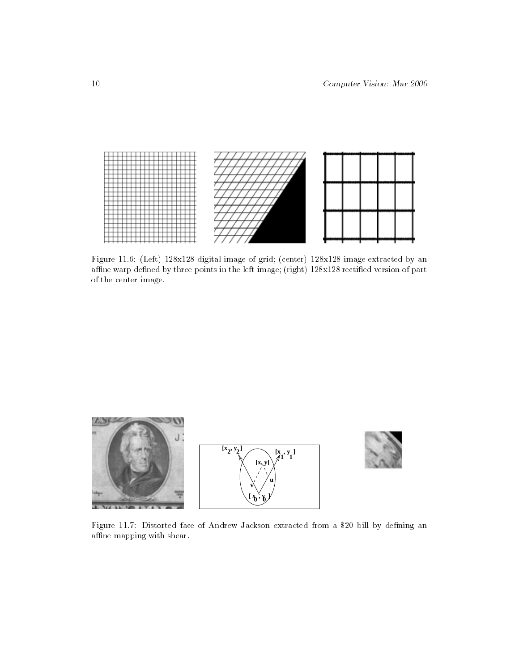

Figure 11.6: (Left) 128x128 digital image of grid; (center) 128x128 image extracted by an affine warp defined by three points in the left image; (right) 128x128 rectified version of part of the center image.



Figure 11.7: Distorted face of Andrew Jackson extracted from a \$20 bill by defining an affine mapping with shear.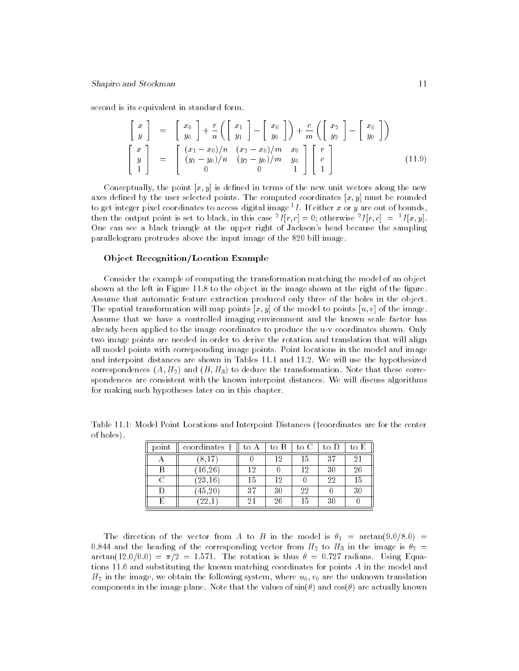second is its equivalent in standard form.

$$
\begin{bmatrix} x \\ y \end{bmatrix} = \begin{bmatrix} x_0 \\ y_0 \end{bmatrix} + \frac{r}{n} \left( \begin{bmatrix} x_1 \\ y_1 \end{bmatrix} - \begin{bmatrix} x_0 \\ y_0 \end{bmatrix} \right) + \frac{c}{m} \left( \begin{bmatrix} x_2 \\ y_2 \end{bmatrix} - \begin{bmatrix} x_0 \\ y_0 \end{bmatrix} \right)
$$

$$
\begin{bmatrix} x \\ y \\ 1 \end{bmatrix} = \begin{bmatrix} (x_1 - x_0)/n & (x_2 - x_0)/m & x_0 \\ (y_1 - y_0)/n & (y_2 - y_0)/m & y_0 \\ 0 & 0 & 1 \end{bmatrix} \begin{bmatrix} r \\ c \\ 1 \end{bmatrix}
$$
(11.9)

Conceptually, the point  $[x, y]$  is defined in terms of the new unit vectors along the new axes defined by the user selected points. The computed coordinates  $[x, y]$  must be rounded to get integer pixel coordinates to access digital image  ${}^{1}I$ . If either x or y are out of bounds, then the output point is set to black, in this case  ${}^{2}I[r, c] = 0$ ; otherwise  ${}^{2}I[r, c] = {}^{1}I[x, y]$ . One can see a black triangle at the upper right of Jackson's head because the sampling parallelogram protrudes above the input image of the \$20 bill image.

#### Ob ject Recognition/Location Example

Consider the example of computing the transformation matching the model of an object shown at the left in Figure 11.8 to the object in the image shown at the right of the figure. Assume that automatic feature extraction produced only three of the holes in the object. The spatial transformation will map points  $[x, y]$  of the model to points  $[u, v]$  of the image. Assume that we have a controlled imaging environment and the known scale factor has already been applied to the image coordinates to produce the u-v coordinates shown. Only two image points are needed in order to derive the rotation and translation that will align all model points with correpsonding image points. Point locations in the model and image and interpoint distances are shown in Tables 11.1 and 11.2. We will use the hypothesized correspondences  $(A, H_2)$  and  $(B, H_3)$  to deduce the transformation. Note that these correspondences are consistent with the known interpoint distances. We will discuss algorithms for making such hypotheses later on in this chapter.

| point | coordinates          | to A | to B | to C | to D | to E |
|-------|----------------------|------|------|------|------|------|
|       | O                    |      | റ    | ТĐ   | -37  | 2    |
|       | (16.26)              | 19   |      | 19   | 30   | 26   |
|       | $\left(23,16\right)$ | 15   | ۱O   |      | 22   |      |
|       | 45,20                | 97   | 30   | 22   |      | 30   |
|       | റെ                   |      |      |      |      |      |

Table 11.1: Model Point Locations and Interpoint Distances (feoordinates are for the center of holes).

The direction of the vector from A to B in the model is  $\theta_1 = \arctan(9.0/8.0) =$ 0.844 and the heading of the corresponding vector from  $H_2$  to  $H_3$  in the image is  $\theta_2 =$  $arctan(12.0/0.0) = \pi/2 = 1.571$ . The rotation is thus  $\theta = 0.727$  radians. Using Equations 11.6 and substituting the known matching coordinates for points A in the model and  $H_2$  in the image, we obtain the following system, where  $u_0, v_0$  are the unknown translation components in the image plane. Note that the values of  $sin(\theta)$  and  $cos(\theta)$  are actually known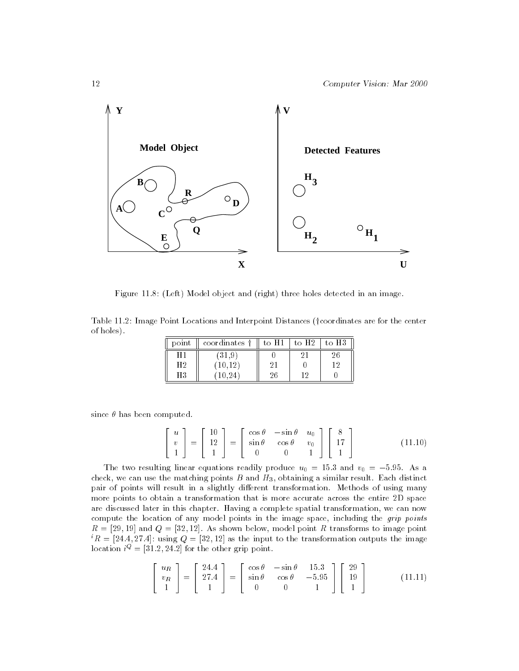

Figure 11.8: (Left) Model object and (right) three holes detected in an image.

Table 11.2: Image Point Locations and Interpoint Distances (†coordinates are for the center of holes).

| $\text{DOM}$ | coordinates † | to H | to H2 | τ∩. |
|--------------|---------------|------|-------|-----|
|              | 1 O L         |      |       |     |
| H2           |               |      |       | 1 ດ |
| Ч3           |               |      | 16    |     |

since  $\theta$  has been computed.

$$
\begin{bmatrix} u \\ v \\ 1 \end{bmatrix} = \begin{bmatrix} 10 \\ 12 \\ 1 \end{bmatrix} = \begin{bmatrix} \cos \theta & -\sin \theta & u_0 \\ \sin \theta & \cos \theta & v_0 \\ 0 & 0 & 1 \end{bmatrix} \begin{bmatrix} 8 \\ 17 \\ 1 \end{bmatrix}
$$
(11.10)

The two resulting linear equations readily produce  $u_0 = 15.3$  and  $v_0 = -5.95$ . As a check, we can use the matching points  $B$  and  $H_3$ , obtaining a similar result. Each distinct pair of points will result in a slightly different transformation. Methods of using many more points to obtain a transformation that is more accurate across the entire 2D space are discussed later in this chapter. Having a complete spatial transformation, we can now compute the location of any model points in the image space, including the *grip points*  $R = [29, 19]$  and  $Q = [32, 12]$ . As shown below, model point R transforms to image point  ${}^{i}R = [24.4, 27.4]$ : using  $Q = [32, 12]$  as the input to the transformation outputs the image location  $i^Q = [31.2, 24.2]$  for the other grip point.

$$
\begin{bmatrix} u_R \\ v_R \\ 1 \end{bmatrix} = \begin{bmatrix} 24.4 \\ 27.4 \\ 1 \end{bmatrix} = \begin{bmatrix} \cos \theta & -\sin \theta & 15.3 \\ \sin \theta & \cos \theta & -5.95 \\ 0 & 0 & 1 \end{bmatrix} \begin{bmatrix} 29 \\ 19 \\ 1 \end{bmatrix}
$$
(11.11)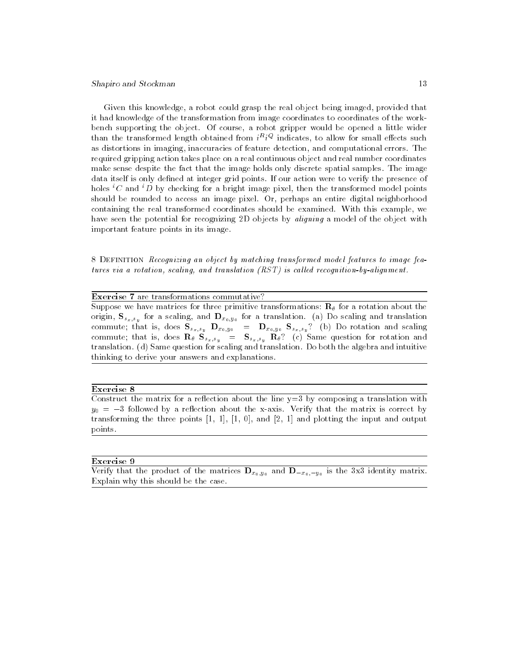#### Shapiro and Stockman 13

Given this knowledge, a robot could grasp the real object being imaged, provided that it had knowledge of the transformation from image coordinates to coordinates of the workbench supporting the object. Of course, a robot gripper would be opened a little wider than the transformed length obtained from  $\imath\rightarrow\imath\gamma$  indicates, to allow for small effects such as distortions in imaging, inaccuracies of feature detection, and computational errors. The required gripping action takes place on a real continuous object and real number coordinates make sense despite the fact that the image holds only discrete spatial samples. The image data itself is only defined at integer grid points. If our action were to verify the presence of holes <sup>i</sup>C and <sup>i</sup>D by checking for a bright image pixel, then the transformed model points should be rounded to access an image pixel. Or, perhaps an entire digital neighborhood containing the real transformed coordinates should be examined. With this example, we have seen the potential for recognizing 2D objects by *aligning* a model of the object with important feature points in its image.

8 DEFINITION Recognizing an object by matching transformed model features to image features via a rotation, scaling, and translation  $(RST)$  is called recognition-by-alignment.

## Exercise 7 are transformations commutative?

Suppose we have matrices for three primitive transformations:  $\mathbf{R}_{\theta}$  for a rotation about the  $\sigma$ ingin, S $x,s$ y for a scaling, and Dx0;y0 for a translation. (a) Do scaling and translation. commute; that is, does Ssx;sy  $\Gamma$   $x_0$ ;yo  $\Gamma$   $x_0$ ;yo  $\Gamma$  ss $x_i$ sy? (b)  $\Gamma$  be rotation and scaling commute; that is, does  $\{s_x,s_y\}$  , and  $\{s_x,s_y\}$  and  $\{s_y\}$  . The same question for rotation and translation. (d) Same question for scaling and translation. Do both the algebra and intuitive thinking to derive your answers and explanations.

#### Exercise 8

Construct the matrix for a reflection about the line  $y=3$  by composing a translation with  $y_0 = -3$  followed by a reflection about the x-axis. Verify that the matrix is correct by transforming the three points [1, 1], [1, 0], and [2, 1] and plotting the input and output points.

#### Exercise 9

Verify that the product of the matrices  $\mathbf{D}_{x_0,y_0}$  and  $\mathbf{D}_{-x_0,-y_0}$  is the 3x3 identity matrix. Explain why this should be the case.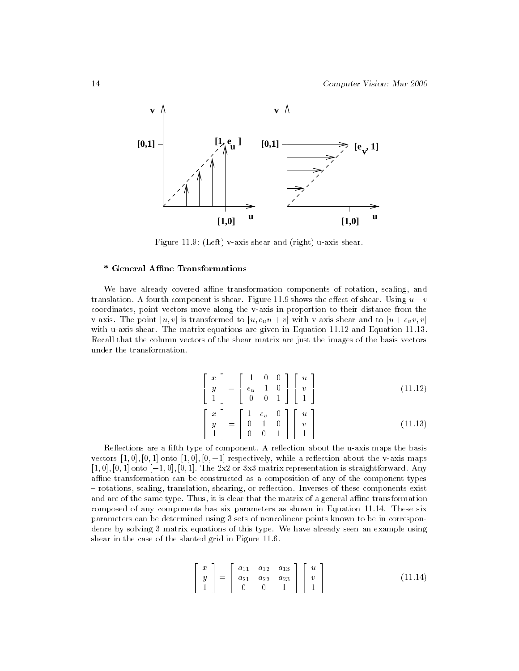

Figure 11.9: (Left) v-axis shear and (right) u-axis shear.

#### \* General Affine Transformations

We have already covered affine transformation components of rotation, scaling, and translation. A fourth component is shear. Figure 11.9 shows the eect of shear. Using using using using using u coordinates, point vectors move along the v-axis in proportion to their distance from the v-axis. The point  $[u, v]$  is transformed to  $[u, e_u u + v]$  with v-axis shear and to  $[u + e_v v, v]$ with u-axis shear. The matrix equations are given in Equation 11.12 and Equation 11.13. Recall that the column vectors of the shear matrix are just the images of the basis vectors under the transformation.

$$
\begin{bmatrix} x \\ y \\ 1 \end{bmatrix} = \begin{bmatrix} 1 & 0 & 0 \\ e_u & 1 & 0 \\ 0 & 0 & 1 \end{bmatrix} \begin{bmatrix} u \\ v \\ 1 \end{bmatrix}
$$
\n
$$
\begin{bmatrix} x \\ y \end{bmatrix} = \begin{bmatrix} 1 & e_v & 0 \\ 0 & 1 & 0 \end{bmatrix} \begin{bmatrix} u \\ v \end{bmatrix}
$$
\n(11.12)

**State Communication of the Communication** 

the contract of the contract of the contract of the contract of the contract of

<sup>5</sup> <sup>4</sup> v

Reflections are a fifth type of component. A reflection about the u-axis maps the basis vectors  $[1,0], [0,1]$  onto  $[1,0], [0,-1]$  respectively, while a reflection about the v-axis maps  $[1, 0], [0, 1]$  onto  $[-1, 0], [0, 1]$ . The 2x2 or 3x3 matrix representation is straightforward. Any affine transformation can be constructed as a composition of any of the component types - rotations, scaling, translation, shearing, or reflection. Inverses of these components exist and are of the same type. Thus, it is clear that the matrix of a general affine transformation composed of any components has six parameters as shown in Equation 11.14. These six parameters can be determined using 3 sets of noncolinear points known to be in correspondence by solving 3 matrix equations of this type. We have already seen an example using shear in the case of the slanted grid in Figure 11.6.

 $1 - 1$   $0$   $1$   $0$   $1$ 

 $\overline{\phantom{a}}$  0  $\overline{\phantom{a}}$  0  $\overline{\phantom{a}}$  0  $\overline{\phantom{a}}$  1  $\overline{\phantom{a}}$  1  $\overline{\phantom{a}}$ 

<sup>4</sup> y

the contract of the contract of the contract of the contract of the contract of

$$
\begin{bmatrix} x \\ y \\ 1 \end{bmatrix} = \begin{bmatrix} a_{11} & a_{12} & a_{13} \\ a_{21} & a_{22} & a_{23} \\ 0 & 0 & 1 \end{bmatrix} \begin{bmatrix} u \\ v \\ 1 \end{bmatrix}
$$
 (11.14)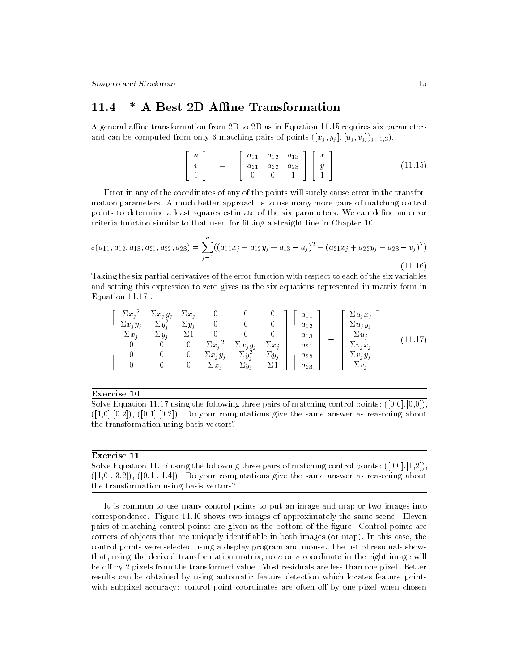#### \* A Best 2D Affine Transformation 11.4

A general affine transformation from 2D to 2D as in Equation 11.15 requires six parameters and can be computed from only 3 matching pairs of points  $([x_i, y_j], [u_i, v_j])_{j=1,3})$ .

$$
\begin{bmatrix} u \\ v \\ 1 \end{bmatrix} = \begin{bmatrix} a_{11} & a_{12} & a_{13} \\ a_{21} & a_{22} & a_{23} \\ 0 & 0 & 1 \end{bmatrix} \begin{bmatrix} x \\ y \\ 1 \end{bmatrix}
$$
 (11.15)

Error in any of the coordinates of any of the points will surely cause error in the transformation parameters. A much better approach is to use many more pairs of matching control points to determine a least-squares estimate of the six parameters. We can define an error criteria function similar to that used for fitting a straight line in Chapter 10.

$$
\varepsilon(a_{11}, a_{12}, a_{13}, a_{21}, a_{22}, a_{23}) = \sum_{j=1}^{n} ((a_{11}x_j + a_{12}y_j + a_{13} - u_j)^2 + (a_{21}x_j + a_{22}y_j + a_{23} - v_j)^2)
$$
\n(11.16)

Taking the six partial derivatives of the error function with respect to each of the six variables and setting this expression to zero gives us the six equations represented in matrix form in Equation 11.17 .

$$
\begin{bmatrix}\n\Sigma x_j^2 & \Sigma x_j y_j & \Sigma x_j & 0 & 0 & 0 \\
\Sigma x_j y_j & \Sigma y_j^2 & \Sigma y_j & 0 & 0 & 0 \\
\Sigma x_j & \Sigma y_j & \Sigma 1 & 0 & 0 & 0 \\
0 & 0 & 0 & \Sigma x_j^2 & \Sigma x_j y_j & \Sigma x_j \\
0 & 0 & 0 & \Sigma x_j y_j & \Sigma y_j^2 & \Sigma y_j \\
0 & 0 & 0 & \Sigma x_j & \Sigma y_j & \Sigma 1\n\end{bmatrix}\n\begin{bmatrix}\na_{11} \\
a_{12} \\
a_{13} \\
a_{21} \\
a_{22} \\
a_{23}\n\end{bmatrix} = \begin{bmatrix}\n\Sigma u_j x_j \\
\Sigma u_j y_j \\
\Sigma v_j x_j \\
\Sigma v_j y_j \\
\Sigma v_j\n\end{bmatrix}
$$
\n(11.17)

Exercise 10

Solve Equation 11.17 using the following three pairs of matching control points:  $([0,0],[0,0])$ ,  $([1,0],[0,2])$ ,  $([0,1],[0,2])$ . Do your computations give the same answer as reasoning about the transformation using basis vectors?

#### Exercise 11

Solve Equation 11.17 using the following three pairs of matching control points:  $([0,0],[1,2])$ ,  $([1,0],[3,2])$ ,  $([0,1],[1,4])$ . Do your computations give the same answer as reasoning about the transformation using basis vectors?

It is common to use many control points to put an image and map or two images into correspondence. Figure 11.10 shows two images of approximately the same scene. Eleven pairs of matching control points are given at the bottom of the figure. Control points are corners of objects that are uniquely identiable in both images (or map). In this case, the control points were selected using a display program and mouse. The list of residuals shows that, using the derived transformation matrix, no  $u$  or  $v$  coordinate in the right image will be off by 2 pixels from the transformed value. Most residuals are less than one pixel. Better results can be obtained by using automatic feature detection which locates feature points with subpixel accuracy: control point coordinates are often off by one pixel when chosen

 $\sim$  1.16)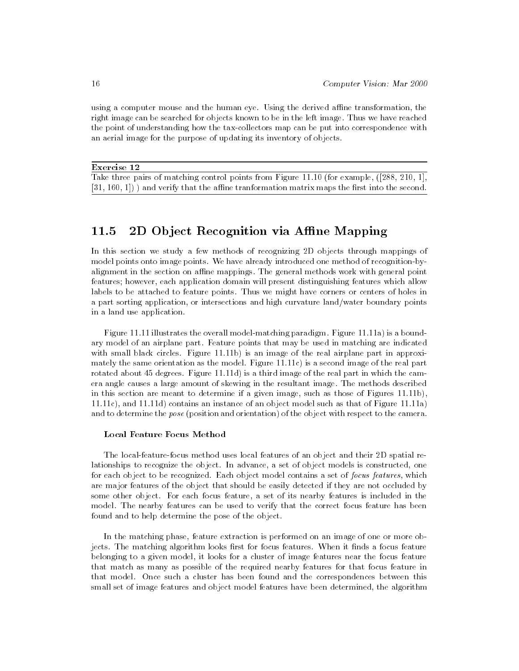using a computer mouse and the human eye. Using the derived affine transformation, the right image can be searched for objects known to be in the left image. Thus we have reached the point of understanding how the tax-collectors map can be put into correspondence with an aerial image for the purpose of updating its inventory of objects.

#### Exercise 12

Take three pairs of matching control points from Figure 11.10 (for example, ([288, 210, 1],  $[31, 160, 1]$ ) and verify that the affine tranformation matrix maps the first into the second.

## 11.5 2D Object Recognition via Affine Mapping

In this section we study a few methods of recognizing 2D objects through mappings of model points onto image points. We have already introduced one method of recognition-byalignment in the section on affine mappings. The general methods work with general point features; however, each application domain will present distinguishing features which allow labels to be attached to feature points. Thus we might have corners or centers of holes in a part sorting application, or intersections and high curvature land/water boundary points in a land use application.

Figure 11.11 illustrates the overall model-matching paradigm. Figure 11.11a) is a boundary model of an airplane part. Feature points that may be used in matching are indicated with small black circles. Figure 11.11b) is an image of the real airplane part in approximately the same orientation as the model. Figure 11.11c) is a second image of the real part rotated about 45 degrees. Figure 11.11d) is a third image of the real part in which the camera angle causes a large amount of skewing in the resultant image. The methods described in this section are meant to determine if a given image, such as those of Figures 11.11b), 11.11c), and 11.11d) contains an instance of an object model such as that of Figure 11.11a) and to determine the pose (position and orientation) of the object with respect to the camera.

#### Local Feature Focus Method

The local-feature-focus method uses local features of an object and their 2D spatial relationships to recognize the object. In advance, a set of object models is constructed, one for each object to be recognized. Each object model contains a set of focus features, which are major features of the object that should be easily detected if they are not occluded by some other object. For each focus feature, a set of its nearby features is included in the model. The nearby features can be used to verify that the correct focus feature has been found and to help determine the pose of the object.

In the matching phase, feature extraction is performed on an image of one or more objects. The matching algorithm looks first for focus features. When it finds a focus feature belonging to a given model, it looks for a cluster of image features near the focus feature that match as many as possible of the required nearby features for that focus feature in that model. Once such a cluster has been found and the correspondences between this small set of image features and object model features have been determined, the algorithm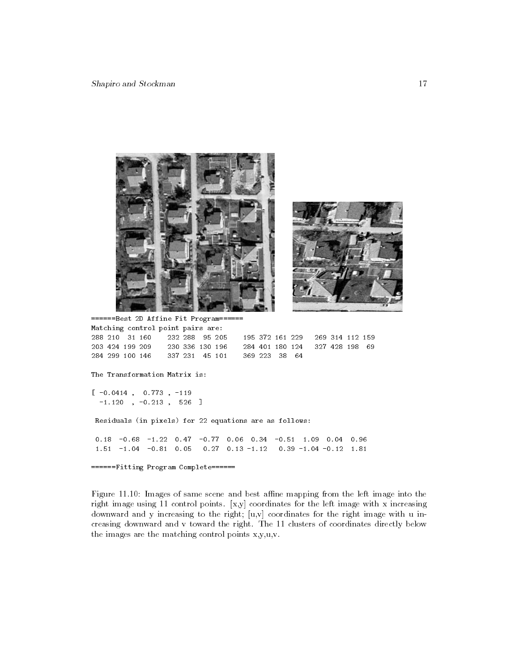

======Best 2D Affine Fit Program====== Matching control point pairs are: 288 210 31 160 232 288 95 205 195 372 161 229 269 314 112 159 203 424 199 209 230 336 130 196 284 401 180 124 327 428 198 69

#### The Transformation Matrix is:

 $[-0.0414, 0.773, -119]$  $-1.120$  ,  $-0.213$  , 526 ]

Residuals (in pixels) for 22 equations are as follows:

0.18 -0.68 -1.22 0.47 -0.77 0.06 0.34 -0.51 1.09 0.04 0.96 1.51 -1.04 -0.81 0.05 0.27 0.13 -1.12 0.39 -1.04 -0.12 1.81

======Fitting Program Complete======

Figure 11.10: Images of same scene and best affine mapping from the left image into the right image using 11 control points.  $[x,y]$  coordinates for the left image with x increasing downward and y increasing to the right;  $[u, v]$  coordinates for the right image with u increasing downward and v toward the right. The 11 clusters of coordinates directly below the images are the matching control points x,y,u,v.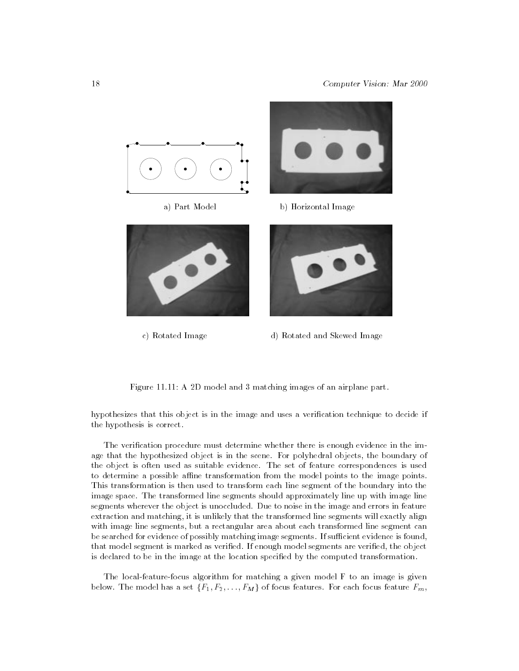

c) Rotated Image d) Rotated and Skewed Image

Figure 11.11: A 2D model and 3 matching images of an airplane part.

hypothesizes that this object is in the image and uses a verication technique to decide if the hypothesis is correct.

The verification procedure must determine whether there is enough evidence in the image that the hypothesized object is in the scene. For polyhedral objects, the boundary of the object is often used as suitable evidence. The set of feature correspondences is used to determine a possible affine transformation from the model points to the image points. This transformation is then used to transform each line segment of the boundary into the image space. The transformed line segments should approximately line up with image line segments wherever the object is unoccluded. Due to noise in the image and errors in feature extraction and matching, it is unlikely that the transformed line segments will exactly align with image line segments, but a rectangular area about each transformed line segment can be searched for evidence of possibly matching image segments. If sufficient evidence is found, that model segment is marked as verified. If enough model segments are verified, the object is declared to be in the image at the location specied by the computed transformation.

The local-feature-focus algorithm for matching a given model F to an image is given below. The model has a set focus for  $f\in T$  ;  $\mathbb{Z}$  ,  $\mathbb{Z}$  ,  $\mathbb{Z}$  for each focus feature  $\mathbb{Z}$  . For each function  $\mathbb{Z}$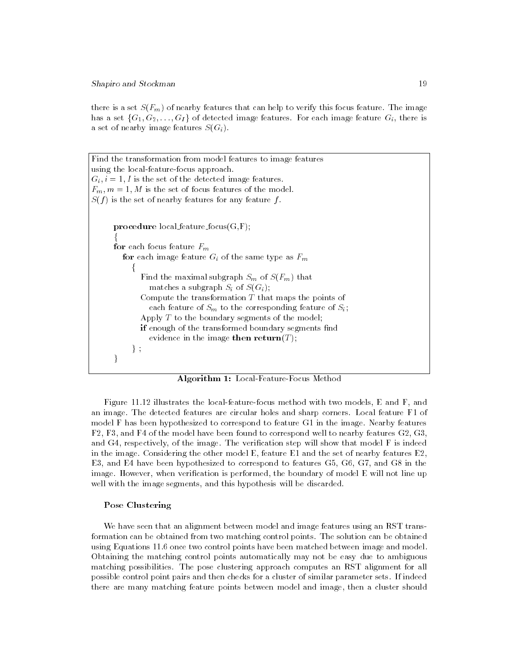Shapiro and Stockman 19

there is a set  $S(F_m)$  of nearby features that can help to verify this focus feature. The image has a set  $\{G_1, G_2, \ldots, G_I\}$  of detected image features. For each image feature  $G_i$ , there is a set of nearby image features  $S(G_i)$ .

```
Find the transformation from model features to image features
using the local-feature-focus approach.
G_i, i = 1, I is the set of the detected image features.
F_m, m = 1, M is the set of focus features of the model.
S(f) is the set of nearby features for any feature f.
      procedure local feature focus(G,F);
      for the contract of the contract of
     for each focus feature F_mfor each image feature G_i of the same type as F_mf
             Find the maximal subgraph S_m of S(F_m) that
                matches a subgraph S_i of S(G_i);
             Compute the transformation T that maps the points of
                each feature of S_m to the corresponding feature of S_i;
             Apply T to the boundary segments of the model;
             if enough of the transformed boundary segments find
                evidence in the image then return(T);
           \};
      \}
```
Algorithm 1: Local-Feature-Focus Method

Figure 11.12 illustrates the local-feature-focus method with two models, E and F, and an image. The detected features are circular holes and sharp corners. Local feature F1 of model F has been hypothesized to correspond to feature G1 in the image. Nearby features F2, F3, and F4 of the model have been found to correspond well to nearby features G2, G3, and  $G4$ , respectively, of the image. The verification step will show that model  $F$  is indeed in the image. Considering the other model E, feature E1 and the set of nearby features E2, E3, and E4 have been hypothesized to correspond to features G5, G6, G7, and G8 in the image. However, when verification is performed, the boundary of model E will not line up well with the image segments, and this hypothesis will be discarded.

#### Pose Clustering

We have seen that an alignment between model and image features using an RST transformation can be obtained from two matching control points. The solution can be obtained using Equations 11.6 once two control points have been matched between image and model. Obtaining the matching control points automatically may not be easy due to ambiguous matching possibilities. The pose clustering approach computes an RST alignment for all possible control point pairs and then checks for a cluster of similar parameter sets. If indeed there are many matching feature points between model and image, then a cluster should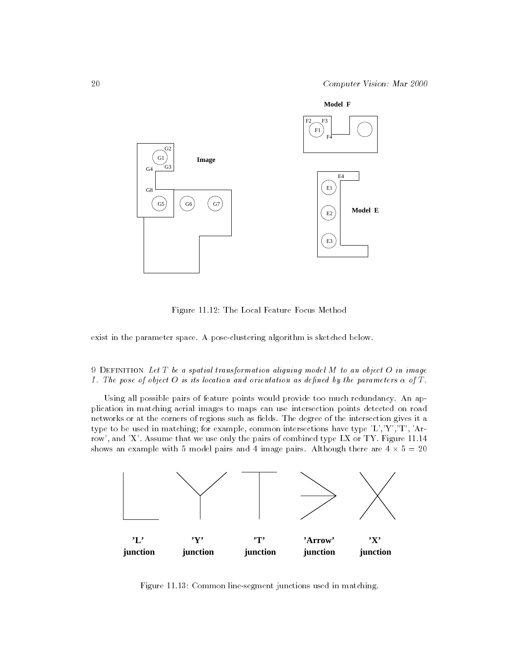

Figure 11.12: The Local Feature Focus Method

exist in the parameter space. A pose-clustering algorithm is sketched below.

## 9 DEFINITION Let  $T$  be a spatial transformation aligning model  $M$  to an object  $O$  in image I. The pose of object O is its location and orientation as defined by the parameters  $\alpha$  of T.

Using all possible pairs of feature points would provide too much redundancy. An application in matching aerial images to maps can use intersection points detected on road networks or at the corners of regions such as fields. The degree of the intersection gives it a type to be used in matching; for example, common intersections have type 'L','Y','T', 'Arrow', and 'X'. Assume that we use only the pairs of combined type LX or TY. Figure 11.14 shows an example with  $5$  image pairs and  $4$  image pairs and 4 image pairs. Although the are 4 in  $\sigma$ 



Figure 11.13: Common line-segment junctions used in matching.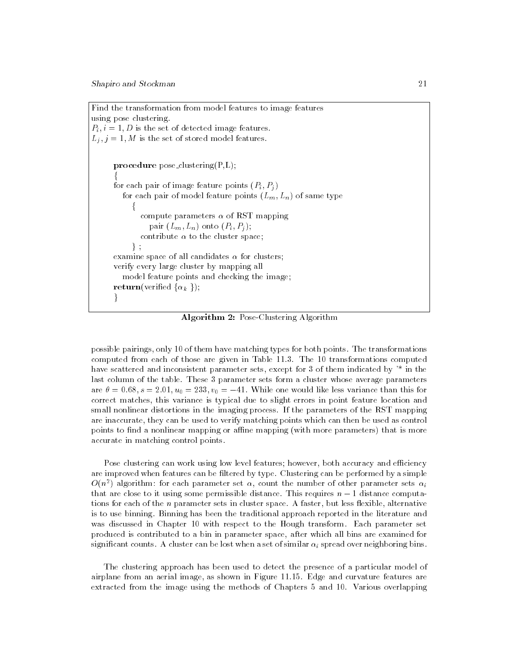Find the transformation from model features to image features using pose clustering.  $P_i$ ,  $i = 1, D$  is the set of detected image features.  $L_j$ ,  $j = 1, M$  is the set of stored model features. procedure pose\_clustering $(P,L)$ ; for the contract of the contract of for each pair of image feature points  $(P_i, P_j)$ for each pair of model feature points  $(L_m, L_n)$  of same type f compute parameters  $\alpha$  of RST mapping pair  $(L_m, L_n)$  onto  $(P_i, P_j)$ ; contribute  $\alpha$  to the cluster space; g ; examine space of all candidates  $\alpha$  for clusters; verify every large cluster by mapping all model feature points and checking the image; return(verified  $\{\alpha_k\}$ );  $\}$ 

Algorithm 2: Pose-Clustering Algorithm

possible pairings, only 10 of them have matching types for both points. The transformations computed from each of those are given in Table 11.3. The 10 transformations computed have scattered and inconsistent parameter sets, except for 3 of them indicated by  $*$  in the last column of the table. These 3 parameter sets form a cluster whose average parameters are  $\theta = 0.68$ ,  $s = 2.01$ ,  $u_0 = 233$ ,  $v_0 = -41$ . While one would like less variance than this for correct matches, this variance is typical due to slight errors in point feature location and small nonlinear distortions in the imaging process. If the parameters of the RST mapping are inaccurate, they can be used to verify matching points which can then be used as control points to find a nonlinear mapping or affine mapping (with more parameters) that is more accurate in matching control points.

Pose clustering can work using low level features; however, both accuracy and efficiency are improved when features can be filtered by type. Clustering can be performed by a simple  $O(n^2)$  algorithm: for each parameter set  $\alpha_i$  count the number of other parameter sets  $\alpha_i$ that are close to it using some permissible distance. This requires n 1 distance computations for each of the  $n$  parameter sets in cluster space. A faster, but less flexible, alternative is to use binning. Binning has been the traditional approach reported in the literature and was discussed in Chapter 10 with respect to the Hough transform. Each parameter set produced is contributed to a bin in parameter space, after which all bins are examined for significant counts. A cluster can be lost when a set of similar  $\alpha_i$  spread over neighboring bins.

The clustering approach has been used to detect the presence of a particular model of airplane from an aerial image, as shown in Figure 11.15. Edge and curvature features are extracted from the image using the methods of Chapters 5 and 10. Various overlapping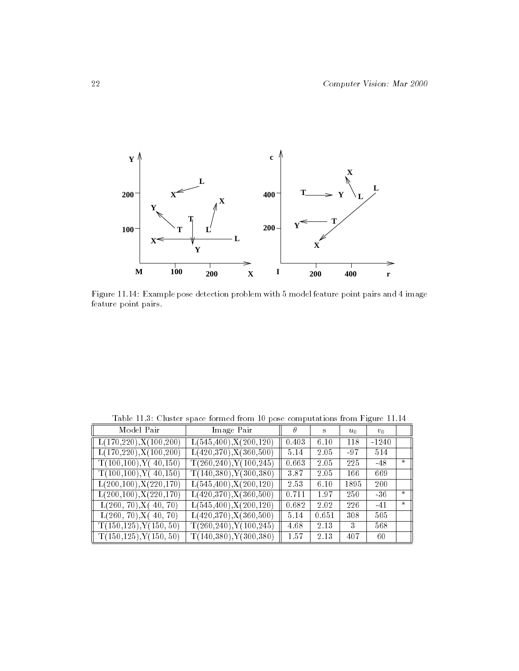

Figure 11.14: Example pose detection problem with 5 model feature point pairs and 4 image feature point pairs.

| Model Pair                              | Image Pair                  | $\theta$ | s     | $u_0$ | $v_0$   |        |
|-----------------------------------------|-----------------------------|----------|-------|-------|---------|--------|
| $\ $ L(170,220), X(100,200)             | L(545, 400), X(200, 120)    | 0.403    | 6.10  | 118   | $-1240$ |        |
| $\left[ L(170,220), X(100,200) \right]$ | L(420,370), X(360,500)      | 5.14     | 2.05  | $-97$ | 514     |        |
| $\ $ T(100,100), Y(40,150)              | T(260, 240), Y(100, 245)    | 0.663    | 2.05  | 225   | $-48$   | $\ast$ |
| $\Gamma$ T(100,100), Y(40,150)          | $T(140,380)$ , $Y(300,380)$ | 3.87     | 2.05  | 166   | 669     |        |
| $\left[ L(200,100), X(220,170) \right]$ | L(545, 400), X(200, 120)    | 2.53     | 6.10  | 1895  | 200     |        |
| $\left[ L(200,100), X(220,170) \right]$ | L(420,370), X(360,500)      | 0.711    | 1.97  | 250   | $-36$   | $\ast$ |
| L(260, 70), X(40, 70)                   | L(545, 400), X(200, 120)    | 0.682    | 2.02  | 226   | $-41$   | $\ast$ |
| L(260, 70), X(40, 70)                   | $L(420,370)$ , $X(360,500)$ | 5.14     | 0.651 | 308   | 505     |        |
| T(150, 125), Y(150, 50)                 | T(260, 240), Y(100, 245)    | 4.68     | 2.13  | 3     | 568     |        |
| $\mathbb{T}(150, 125), Y(150, 50)$      | $T(140,380)$ , $Y(300,380)$ | 1.57     | 2.13  | 407   | 60      |        |

Table 11.3: Cluster space formed from 10 pose computations from Figure 11.14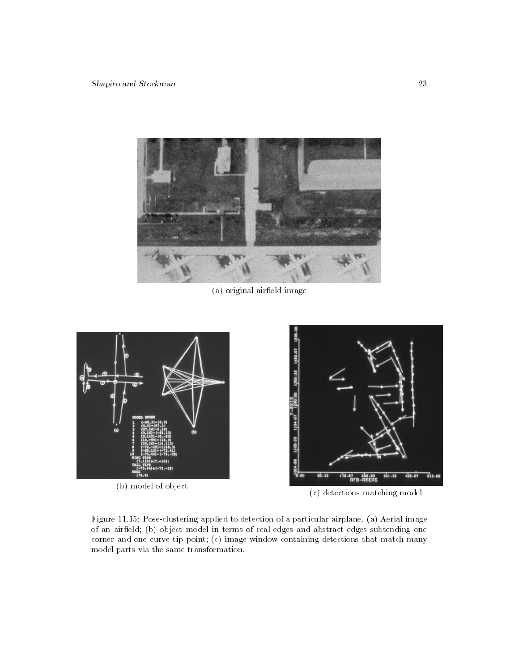

(a) original aireld image



(b) model of object



(c) detections matching model

Figure 11.15: Pose-clustering applied to detection of a particular airplane. (a) Aerial image of an airfield; (b) object model in terms of real edges and abstract edges subtending one corner and one curve tip point; (c) image window containing detections that match many model parts via the same transformation.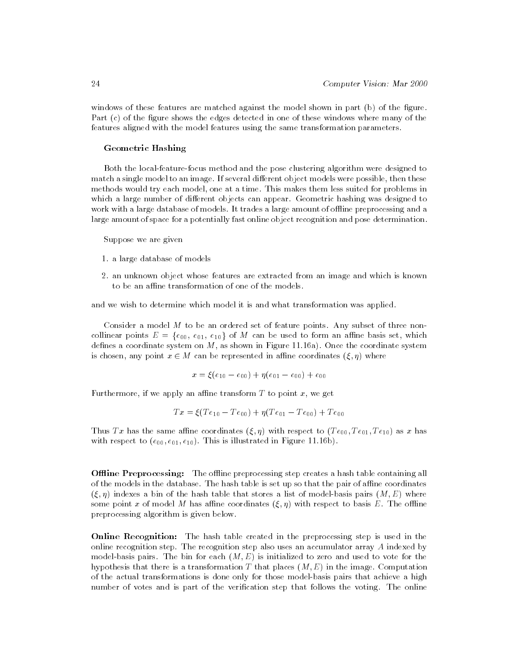windows of these features are matched against the model shown in part (b) of the figure. Part (c) of the figure shows the edges detected in one of these windows where many of the features aligned with the model features using the same transformation parameters.

#### Geometric Hashing

Both the local-feature-focus method and the pose clustering algorithm were designed to match a single model to an image. If several different object models were possible, then these methods would try each model, one at a time. This makes them less suited for problems in which a large number of different objects can appear. Geometric hashing was designed to work with a large database of models. It trades a large amount of offline preprocessing and a large amount of space for a potentially fast online object recognition and pose determination.

Suppose we are given

- 1. a large database of models
- 2. an unknown object whose features are extracted from an image and which is known to be an affine transformation of one of the models.

and we wish to determine which model it is and what transformation was applied.

Consider a model  $M$  to be an ordered set of feature points. Any subset of three noncollinear points  $E = \{e_{00}, e_{01}, e_{10}\}$  of M can be used to form an affine basis set, which defines a coordinate system on  $M$ , as shown in Figure 11.16a). Once the coordinate system is chosen, any point  $\mathbf x$  and  $\mathbf x$  and  $\mathbf x$  and  $\mathbf x$  where  $\mathbf x$  where  $\mathbf x$  where  $\mathbf x$  where  $\mathbf x$  where  $\mathbf x$  where  $\mathbf x$  is  $\mathbf x$  and  $\mathbf x$  where  $\mathbf x$  is  $\mathbf x$  is an expectation of  $\mathbf x$  and  $\mathbf x$ 

$$
x = \xi(e_{10} - e_{00}) + \eta(e_{01} - e_{00}) + e_{00}
$$

Furthermore, if we apply an affine transform T to point x, we get

$$
Tx = \xi(Te_{10} - Te_{00}) + \eta(Te_{01} - Te_{00}) + Te_{00}
$$

Thus Tx has the same affine coordinates  $(\xi, \eta)$  with respect to  $(Te_{00}, Te_{01}, Te_{10})$  as x has with respect to  $(e_{00}, e_{01}, e_{10})$ . This is illustrated in Figure 11.16b).

**Offline Preprocessing:** The offline preprocessing step creates a hash table containing all of the models in the database. The hash table is set up so that the pair of affine coordinates  $(\xi, \eta)$  indexes a bin of the hash table that stores a list of model-basis pairs  $(M, E)$  where some point x of model M has affine coordinates  $(\xi, \eta)$  with respect to basis E. The offline preprocessing algorithm is given below.

**Online Recognition:** The hash table created in the preprocessing step is used in the online recognition step. The recognition step also uses an accumulator array A indexed by model-basis pairs. The bin for each  $(M, E)$  is initialized to zero and used to vote for the hypothesis that there is a transformation T that places  $(M, E)$  in the image. Computation of the actual transformations is done only for those model-basis pairs that achieve a high number of votes and is part of the verification step that follows the voting. The online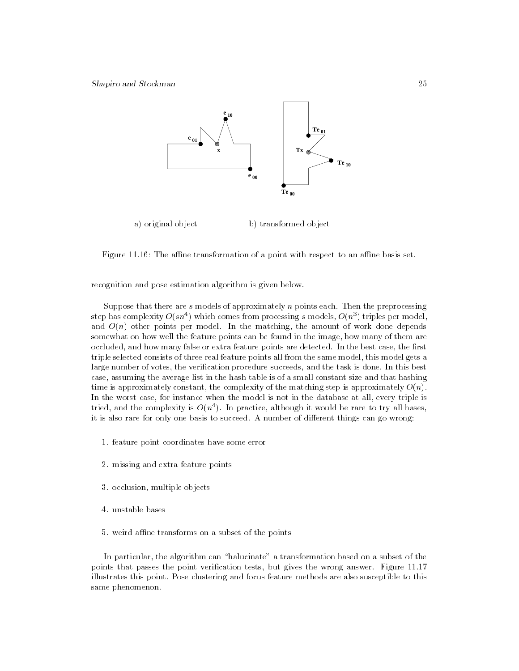

Figure 11.16: The affine transformation of a point with respect to an affine basis set.

recognition and pose estimation algorithm is given below.

Suppose that there are s models of approximately n points each. Then the preprocessing step has complexity  $O(s n \, \gamma)$  which comes from processing  $s$  models,  $O(n \, \gamma)$  triples per model, and  $O(n)$  other points per model. In the matching, the amount of work done depends somewhat on how well the feature points can be found in the image, how many of them are occluded, and how many false or extra feature points are detected. In the best case, the first triple selected consists of three real feature points all from the same model, this model gets a large number of votes, the verification procedure succeeds, and the task is done. In this best case, assuming the average list in the hash table is of a small constant size and that hashing time is approximately constant, the complexity of the matching step is approximately  $O(n)$ . In the worst case, for instance when the model is not in the database at all, every triple is tried, and the complexity is  $O(n^+)$ . In practice, although it would be rare to try all bases, it is also rare for only one basis to succeed. A number of different things can go wrong:

- 1. feature point coordinates have some error
- 2. missing and extra feature points
- 3. occlusion, multiple objects
- 4. unstable bases
- 5. weird affine transforms on a subset of the points

In particular, the algorithm can "halucinate" a transformation based on a subset of the points that passes the point verification tests, but gives the wrong answer. Figure 11.17 illustrates this point. Pose clustering and focus feature methods are also susceptible to this same phenomenon.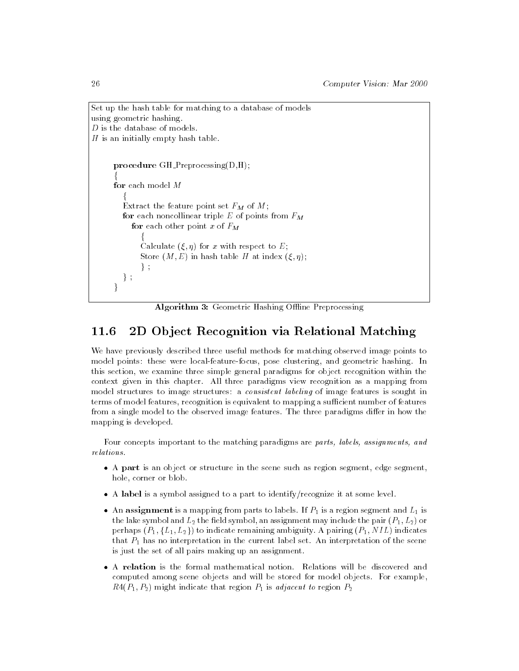```
Set up the hash table for matching to a database of models
using geometric hashing.
D is the database of models.
H is an initially empty hash table.
       procedure GH_Preprocessing(D,H);
       for the contract of the contract of
       for each model M
          for the state of the state of the state of
          Extract the feature point set F_M of M;
          for each noncollinear triple E of points from F_Mfor each other point x of F_Mfor the contract of the contract of the
                Calculate (\xi, \eta) for x with respect to E;
                Store (M, E) in hash table H at index (\xi, \eta);
                \} ;
          \} ;
       \}
```
Algorithm 3: Geometric Hashing Offline Preprocessing

## 11.6 2D Ob ject Recognition via Relational Matching

We have previously described three useful methods for matching observed image points to model points: these were local-feature-focus, pose clustering, and geometric hashing. In this section, we examine three simple general paradigms for object recognition within the context given in this chapter. All three paradigms view recognition as a mapping from model structures to image structures: a *consistent labeling* of image features is sought in terms of model features, recognition is equivalent to mapping a sufficient number of features from a single model to the observed image features. The three paradigms differ in how the mapping is developed.

Four concepts important to the matching paradigms are parts, labels, assignments, and relations.

- <sup>A</sup> part is an object or structure in the scene such as region segment, edge segment, hole, corner or blob.
- <sup>A</sup> label is a symbol assigned to a part to identify/recognize it at some level.
- An assignment is a mapping from parts to labels. If  $P_1$  is a region segment and  $L_1$  is the lake symbol and  $L_2$  the field symbol, an assignment may include the pair  $(P_1, L_2)$  or perhaps  $(P_1, \{L_1, L_2\})$  to indicate remaining ambiguity. A pairing  $(P_1, NIL)$  indicates that  $P_1$  has no interpretation in the current label set. An interpretation of the scene is just the set of all pairs making up an assignment.
- <sup>A</sup> relation is the formal mathematical notion. Relations will be discovered and computed among scene objects and will be stored for model objects. For example,  $R4(P_1, P_2)$  might indicate that region  $P_1$  is adjacent to region  $P_2$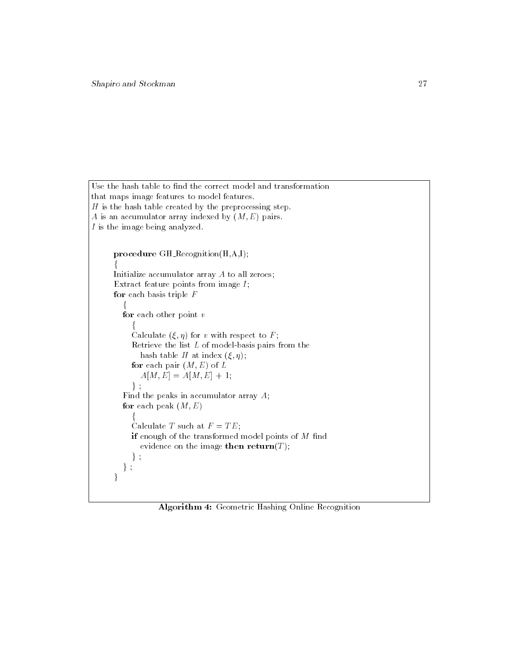```
Use the hash table to find the correct model and transformation
that maps image features to model features.
H is the hash table created by the preprocessing step.
A is an accumulator array indexed by (M, E) pairs.
I is the image being analyzed.
      procedure GH Recognition(H,A,I);
       for the contract of the contract of
      Initialize accumulator array A to all zeroes;
       Extract feature points from image I;
      for each basis triple Ffor the state of the state of the state of the state of the state of the state of the state of the state of the
         for each other point vf
            Calculate (\xi, \eta) for v with respect to F;
             Retrieve the list L of model-basis pairs from the
               hash table H at index (\xi, \eta);
            for each pair (M, E) of L
               A[M, E] = A[M, E] + 1;\} ;
          Find the peaks in accumulator array A;
         for each peak (M, E)f
            Calculate T such at F = TE;
            if enough of the transformed model points of M find
               evidence on the image then return(T);
            \} ;
         \} ;
       \overline{ }
```
Algorithm 4: Geometric Hashing Online Recognition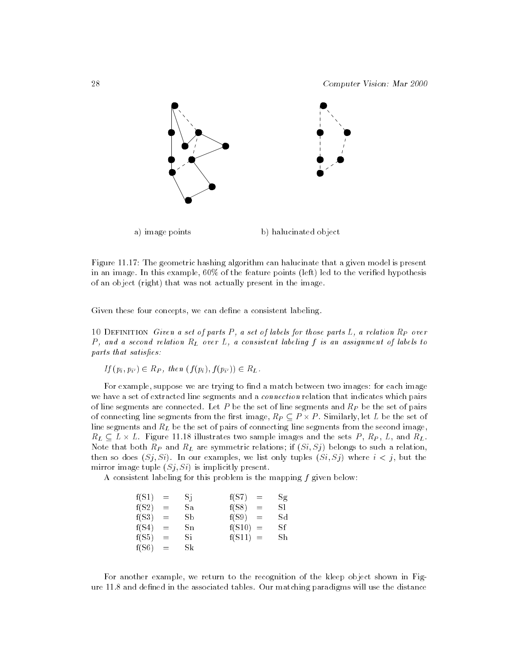28 Computer Vision: Mar 2000



Figure 11.17: The geometric hashing algorithm can halucinate that a given model is present in an image. In this example,  $60\%$  of the feature points (left) led to the verified hypothesis of an object (right) that was not actually present in the image.

Given these four concepts, we can define a consistent labeling.

10 DEFINITION Given a set of parts  $P$ , a set of labels for those parts  $L$ , a relation  $R_P$  over P, and a second relation  $R_L$  over L, a consistent labeling f is an assignment of labels to parts that satisfies:

$$
If (p_i, p_{i'}) \in R_P, then (f(p_i), f(p_{i'})) \in R_L.
$$

For example, suppose we are trying to find a match between two images: for each image we have a set of extracted line segments and a *connection* relation that indicates which pairs of line segments are connected. Let P be the set of line segments and  $R_P$  be the set of pairs  $\alpha$  . Similarly, the sequence from the set of  $\alpha$  -respectively,  $\alpha$  -respectively, i.e.  $\alpha$  set of  $\alpha$  . line segments and  $R_L$  be the set of pairs of connecting line segments from the second image, re  $\mu$   $\mu$  -  $\mu$  is the set of the sets  $\mu$  is the sets P , and R , and R ,  $\mu$  , and  $\mu$  , and  $\mu$  , and  $\mu$ Note that both  $R_P$  and  $R_L$  are symmetric relations; if  $(Si, Sj)$  belongs to such a relation, then so does  $(S_i, S_i)$ . In our examples, we list only tuples  $(S_i, S_j)$  where  $i < j$ , but the mirror image tuple  $(Sj, Si)$  is implicitly present.

A consistent labeling for this problem is the mapping f given below:

| $f(S1)$ | = | $Sj$ | $f(S7)$  | = | $Sg$ |
|---------|---|------|----------|---|------|
| $f(S2)$ | = | $Sa$ | $f(S8)$  | = | $S1$ |
| $f(S3)$ | = | $Sb$ | $f(S9)$  | = | $Sd$ |
| $f(S4)$ | = | $Sn$ | $f(S10)$ | = | $Sf$ |
| $f(S5)$ | = | $Si$ | $f(S11)$ | = | $Sh$ |
| $f(S6)$ | = | $Sk$ |          |   |      |

For another example, we return to the recognition of the kleep object shown in Figure 11.8 and defined in the associated tables. Our matching paradigms will use the distance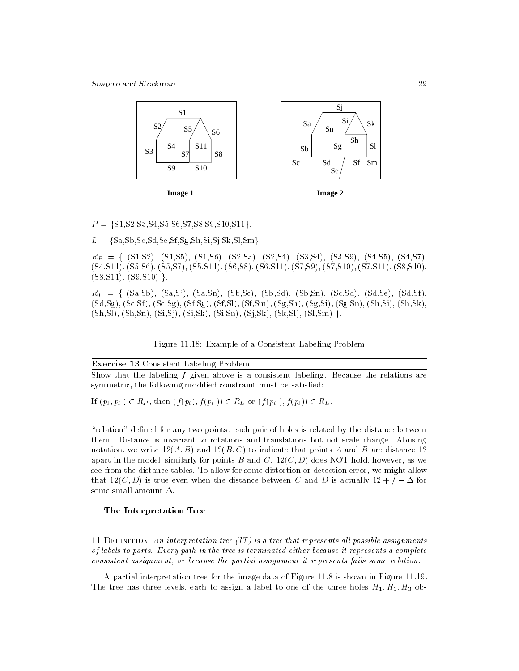Shapiro and Stockman 29



 $P = \{S1, S2, S3, S4, S5, S6, S7, S8, S9, S10, S11\}.$ 

 $L = \{Sa, Sb, Sc, Sd, Se, Sf, Sg, Sh, Si, Si, Sk, Sl, Sm\}.$ 

 $R_P = \{ (S1,S2), (S1,S5), (S1,S6), (S2,S3), (S2,S4), (S3,S4), (S3,S9), (S4,S5), (S4,S7),$ (S4,S11), (S5,S6), (S5,S7), (S5,S11), (S6,S8), (S6,S11), (S7,S9), (S7,S10), (S7,S11), (S8,S10),  $(S8,S11), (S9,S10)$ .

 $R_L = \{ (Sa, Sb), (Sa, Sj), (Sa, Sn), (Sb, Sc), (Sb, Sd), (Sb, Sn), (Sc, Sd), (Sd, Se), (Sd, Sf), (Sd, Sf), (Sd, Sf), (Sd, Sf), (Sd, Sf), (Sd, Sf), (Sd, Se), (Sd, Se), (Sd, Se), (Sd, Se), (Sd, Se), (Sd, Se), (Sd, Se), (Sd, Se), (Sd, Se), (Sd, Se), (Sd, Se), (Sd, Se), (Sd, Se), (Sd, Se), (Sd, Se), (Sd, Se), (Sd, Se), (Sd, Se), (Sd, Se), (Sd, Se), (Sd, Se$ (Sd,Sg), (Se,Sf ), (Se,Sg), (Sf,Sg), (Sf,Sl), (Sf,Sm), (Sg,Sh), (Sg,Si), (Sg,Sn), (Sh,Si), (Sh,Sk),  $(Sh, Sl)$ ,  $(Sh,Sn)$ ,  $(Si, Sj)$ ,  $(Si, Sk)$ ,  $(Si,Sn)$ ,  $(Sj, Sk)$ ,  $(Sk, Sl)$ ,  $(Sl, Sm)$ .

Figure 11.18: Example of a Consistent Labeling Problem

Exercise 13 Consistent Labeling Problem Show that the labeling  $f$  given above is a consistent labeling. Because the relations are symmetric, the following modified constraint must be satisfied:

If  $(p_i, p_{i'}) \in R_P$ , then  $(f(p_i), f(p_{i'})) \in R_L$  or  $(f(p_{i'}), f(p_i)) \in R_L$ .

"relation" defined for any two points: each pair of holes is related by the distance between them. Distance is invariant to rotations and translations but not scale change. Abusing notation, we write  $12(A, B)$  and  $12(B, C)$  to indicate that points A and B are distance 12 apart in the model, similarly for points B and C.  $12(C, D)$  does NOT hold, however, as we see from the distance tables. To allow for some distortion or detection error, we might allow that 12(C; D) is true even when the distance between C and D is actually 12 + = for some small amount  $\Delta$ .

#### The Interpretation Tree

11 DEFINITION An interpretation tree (IT) is a tree that represents all possible assignments of labels to parts. Every path in the tree is terminated either because it represents a complete consistent assignment, or because the partial assignment it represents fails some relation.

A partial interpretation tree for the image data of Figure 11.8 is shown in Figure 11.19. The tree has three levels, each to assign a label to one of the three holes  $H_1, H_2, H_3$  ob-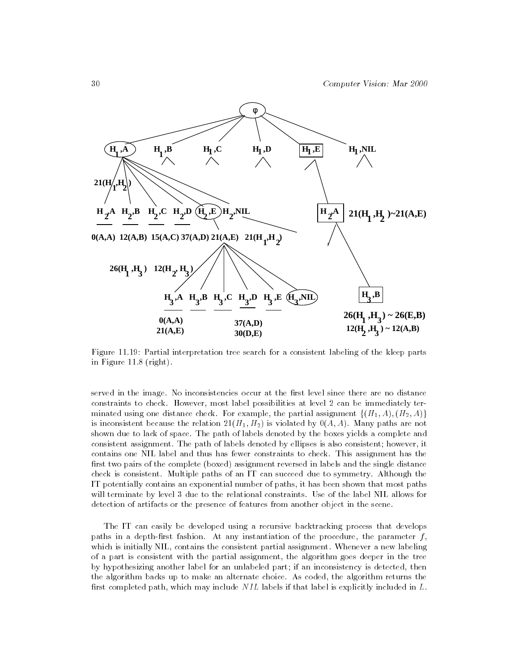

Figure 11.19: Partial interpretation tree search for a consistent labeling of the kleep parts in Figure 11.8 (right).

served in the image. No inconsistencies occur at the first level since there are no distance constraints to check. However, most label possibilities at level 2 can be immediately terminated using one distance check. For example, the partial assignment  $\{(H_1, A), (H_2, A)\}$ is inconsistent because the relation  $21(H_1, H_2)$  is violated by  $0(A, A)$ . Many paths are not shown due to lack of space. The path of labels denoted by the boxes yields a complete and consistent assignment. The path of labels denoted by ellipses is also consistent; however, it contains one NIL label and thus has fewer constraints to check. This assignment has the first two pairs of the complete (boxed) assignment reversed in labels and the single distance check is consistent. Multiple paths of an IT can succeed due to symmetry. Although the IT potentially contains an exponential number of paths, it has been shown that most paths will terminate by level 3 due to the relational constraints. Use of the label NIL allows for detection of artifacts or the presence of features from another object in the scene.

The IT can easily be developed using a recursive backtracking process that develops paths in a depth-first fashion. At any instantiation of the procedure, the parameter  $f$ , which is initially NIL, contains the consistent partial assignment. Whenever a new labeling of a part is consistent with the partial assignment, the algorithm goes deeper in the tree by hypothesizing another label for an unlabeled part; if an inconsistency is detected, then the algorithm backs up to make an alternate choice. As coded, the algorithm returns the first completed path, which may include  $NIL$  labels if that label is explicitly included in  $L$ .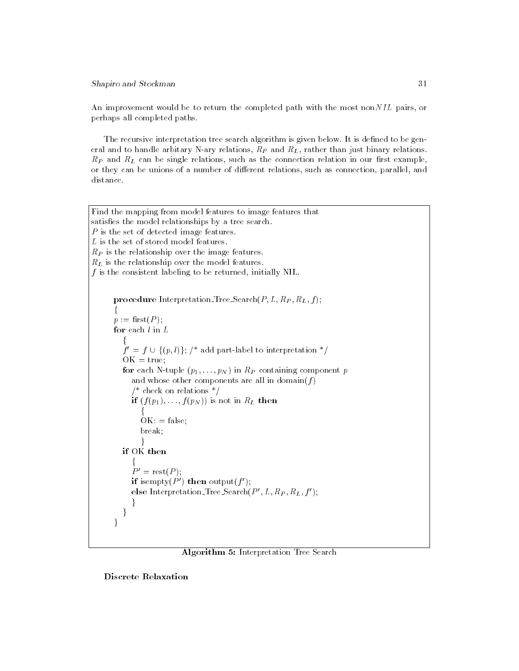### Shapiro and Stockman 31

An improvement would be to return the completed path with the most nonNIL pairs, or perhaps all completed paths.

The recursive interpretation tree search algorithm is given below. It is defined to be general and to handle arbitary N-ary relations,  $R_P$  and  $R_L$ , rather than just binary relations.  $R_P$  and  $R_L$  can be single relations, such as the connection relation in our first example, or they can be unions of a number of different relations, such as connection, parallel, and distance.

```
Find the mapping from model features to image features that
satisfies the model relationships by a tree search.
P is the set of detected image features.
L is the set of stored model features.
R_P is the relationship over the image features.
R_L is the relationship over the model features.
f is the consistent labeling to be returned, initially NIL.
          procedure Interpretation Tree Search(P, L, R_P, R_L, f);f
          p := \text{first}(P);
          for each l in Lfor the state of the state of the state of the state of the state of the state of the state of the state of the
               f' = f \cup \{(p, l)\}; /* add part-label to interpretation */
               OK = true;for each N-tuple (p_1, \ldots, p_N) in R_P containing component p
                   and whose other components are all in domain(f)/* check on relations */if (f(p_1),...,f(p_N)) is not in R_L then
                        for the contract of the contract of the contract of the contract of the contract of the contract of the contract of the contract of the contract of the contract of the contract of the contract of the contract of the contra
                       OK: = false;
                       break;
                        graduate and the state of the state of the state of the state of the state of the state of the state of the state of the state of the state of the state of the state of the state of the state of the state of the state of t
              if OK then
                   for the contract of the contract of
                   P' = \text{rest}(P);
                  if isempty(P') then output(f');
                   else Interpretation-Tree-Search(P', L, R_P, R_L, f');
                   \mathcal{E}\}\overline{\mathcal{C}}
```


Discrete Relaxation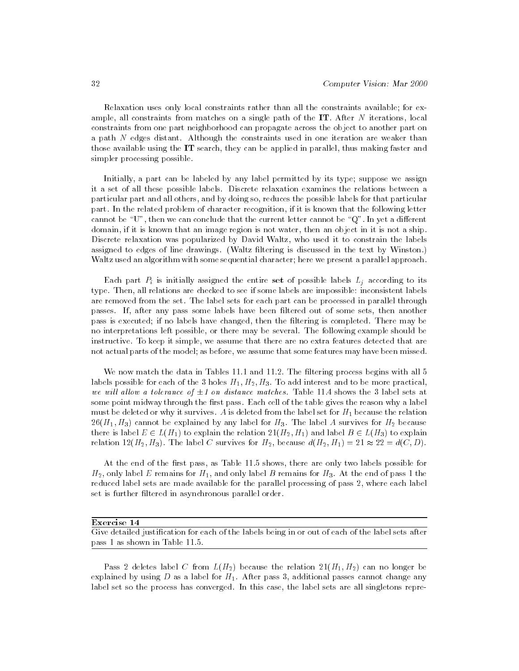Relaxation uses only local constraints rather than all the constraints available; for example, all constraints from matches on a single path of the  $IT$ . After N iterations, local constraints from one part neighborhood can propagate across the object to another part on a path N edges distant. Although the constraints used in one iteration are weaker than those available using the IT search, they can be applied in parallel, thus making faster and simpler processing possible.

Initially, a part can be labeled by any label permitted by its type; suppose we assign it a set of all these possible labels. Discrete relaxation examines the relations between a particular part and all others, and by doing so, reduces the possible labels for that particular part. In the related problem of character recognition, if it is known that the following letter cannot be " $U$ ", then we can conclude that the current letter cannot be " $Q$ ". In yet a different domain, if it is known that an image region is not water, then an object in it is not a ship. Discrete relaxation was popularized by David Waltz, who used it to constrain the labels assigned to edges of line drawings. (Waltz filtering is discussed in the text by Winston.) Waltz used an algorithm with some sequential character; here we present a parallel approach.

Each part  $P_i$  is initially assigned the entire set of possible labels  $L_i$  according to its type. Then, all relations are checked to see if some labels are impossible: inconsistent labels are removed from the set. The label sets for each part can be processed in parallel through passes. If, after any pass some labels have been filtered out of some sets, then another pass is executed; if no labels have changed, then the filtering is completed. There may be no interpretations left possible, or there may be several. The following example should be instructive. To keep it simple, we assume that there are no extra features detected that are not actual parts of the model; as before, we assume that some features may have been missed.

We now match the data in Tables 11.1 and 11.2. The filtering process begins with all 5 labels possible for each of the 3 holes  $H_1, H_2, H_3$ . To add interest and to be more practical, we will not a tolerance of 2 on distance matches. These the 3 label sets at 3 label sets at 3 lab some point midway through the first pass. Each cell of the table gives the reason why a label must be deleted or why it survives. A is deleted from the label set for  $H_1$  because the relation  $26(H_1, H_3)$  cannot be explained by any label for  $H_3$ . The label A survives for  $H_2$  because the is label E 2 L(H1) to explain the relation  $\mathcal{L}$  and label B 2 L(H3) to explain the relation  $\mathcal{L}$ relation  $12(H_2, H_3)$ . The label C survives for  $H_2$ , because  $d(H_2, H_1) = 21 \approx 22 = d(C, D)$ .

At the end of the first pass, as Table 11.5 shows, there are only two labels possible for  $H_2$ , only label E remains for  $H_1$ , and only label B remains for  $H_3$ . At the end of pass 1 the reduced label sets are made available for the parallel processing of pass 2, where each label set is further filtered in asynchronous parallel order.

#### Exercise 14

Give detailed justication for each of the labels being in or out of each of the label sets after pass 1 as shown in Table 11.5.

Pass 2 deletes label C from  $L(H_2)$  because the relation  $21(H_1, H_2)$  can no longer be explained by using  $D$  as a label for  $H_1$ . After pass 3, additional passes cannot change any label set so the process has converged. In this case, the label sets are all singletons repre-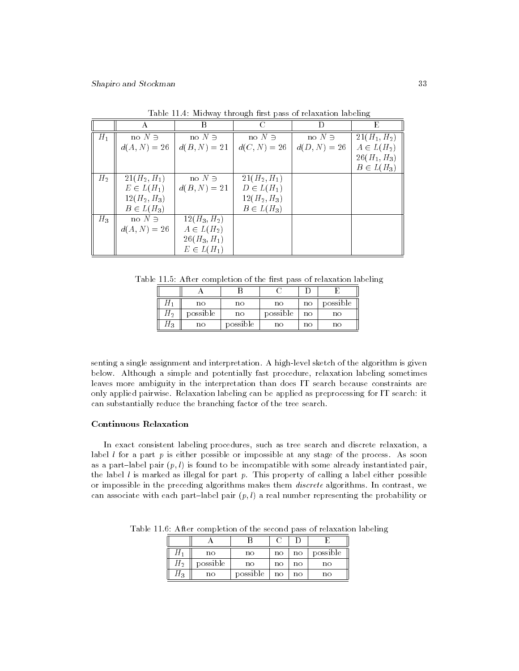|                |                | В              |                |                | E              |
|----------------|----------------|----------------|----------------|----------------|----------------|
| $H_{1}$        | no $N \ni$     | no $N \ni$     | no $N \ni$     | no $N \ni$     | $21(H_1, H_2)$ |
|                | $d(A, N) = 26$ | $d(B, N) = 21$ | $d(C, N) = 26$ | $d(D, N) = 26$ | $A\in L(H_2)$  |
|                |                |                |                |                | $26(H_1, H_3)$ |
|                |                |                |                |                | $B\in L(H_3)$  |
| H <sub>2</sub> | $21(H_2, H_1)$ | no $N \ni$     | $21(H_2, H_1)$ |                |                |
|                | $E\in L(H_1)$  | $d(B, N) = 21$ | $D\in L(H_1)$  |                |                |
|                | $12(H_2, H_3)$ |                | $12(H_2, H_3)$ |                |                |
|                | $B\in L(H_3)$  |                | $B\in L(H_3)$  |                |                |
| $H_3$          | no $N \ni$     | $12(H_3, H_2)$ |                |                |                |
|                | $d(A, N) = 26$ | $A\in L(H_2)$  |                |                |                |
|                |                | $26(H_3, H_1)$ |                |                |                |
|                |                | $E\in L(H_1)$  |                |                |                |

Table 11.4: Midway through first pass of relaxation labeling

Table 11.5: After completion of the first pass of relaxation labeling

|    | no       | no       | no       | nο | possible |
|----|----------|----------|----------|----|----------|
| П2 | possible | no       | possible | no | no       |
| П3 | no       | possible | no       | nο | no       |

senting a single assignment and interpretation. A high-level sketch of the algorithm is given below. Although a simple and potentially fast procedure, relaxation labeling sometimes leaves more ambiguity in the interpretation than does IT search because constraints are only applied pairwise. Relaxation labeling can be applied as preprocessing for IT search: it can substantially reduce the branching factor of the tree search.

### Continuous Relaxation

In exact consistent labeling procedures, such as tree search and discrete relaxation, a label  $l$  for a part  $p$  is either possible or impossible at any stage of the process. As soon as a part-label pair  $(p, l)$  is found to be incompatible with some already instantiated pair, the label  $l$  is marked as illegal for part  $p$ . This property of calling a label either possible or impossible in the preceding algorithms makes them discrete algorithms. In contrast, we can associate with each part-label pair  $(p, l)$  a real number representing the probability or

|      | no       | nο       | no | nο | possible |
|------|----------|----------|----|----|----------|
|      | possible | nο       | no | no | no       |
| 2I P | no       | possible | no | no | nο       |

Table 11.6: After completion of the second pass of relaxation labeling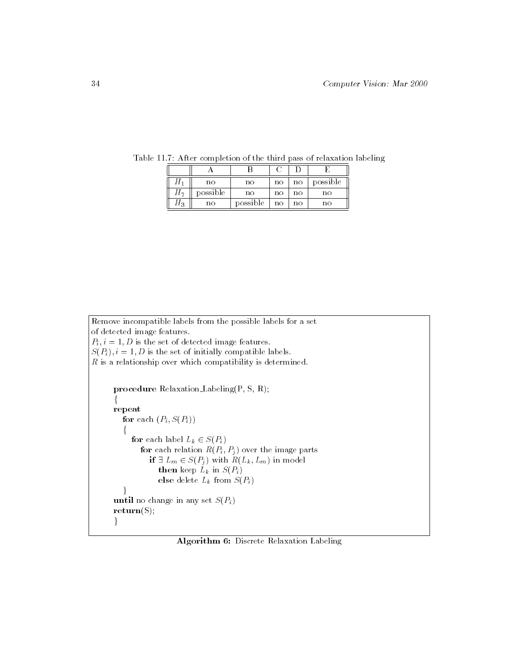|      | no       | no       | no | no | possible |
|------|----------|----------|----|----|----------|
| П2   | possible | no       | no | no | no       |
| LL 3 | no       | possible | no | no | no       |

Table 11.7: After completion of the third pass of relaxation labeling

```
Remove incompatible labels from the possible labels for a set
of detected image features.
P_i, i = 1, D is the set of detected image features.
S(P_i), i = 1, D is the set of initially compatible labels.
R is a relationship over which compatibility is determined.
      procedure Relaxation Labeling(P, S, R);
       f
      repeat
         for each (P_i, S(P_i))f
            for each label L_k \in S(P_i)for each relation R(P_i, P_j) over the image parts
                  if \mathcal{P} = \mathcal{P} is a state \mathcal{P} = \{P_1, P_2, \ldots, P_n\} in the result of \mathcal{P}then keep L_k in S(P_i)else delete L_k from S(P_i)\}until no change in any set S(P_i)return(S);
       \}
```
Algorithm 6: Discrete Relaxation Labeling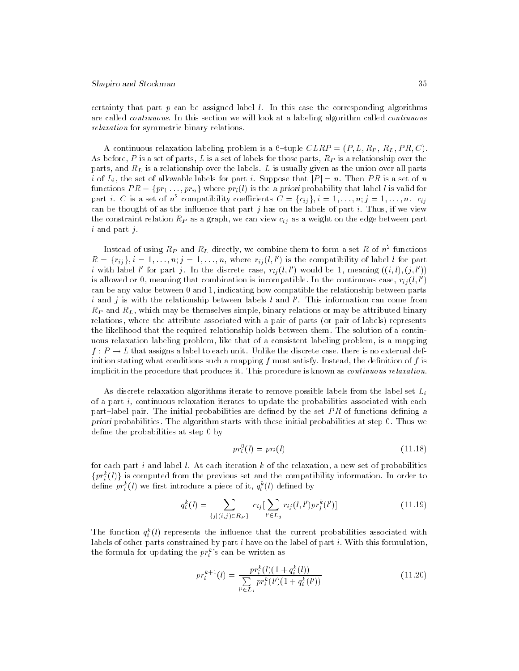certainty that part  $p$  can be assigned label  $l$ . In this case the corresponding algorithms are called continuous. In this section we will look at a labeling algorithm called continuous relaxation for symmetric binary relations.

A continuous relaxation labeling problem is a 6-tuple  $CLRP = (P, L, R_P, R_L, PR, C)$ . As before, P is a set of parts, L is a set of labels for those parts,  $R_P$  is a relationship over the parts, and  $R_L$  is a relationship over the labels. L is usually given as the union over all parts i of  $L_i$ , the set of allowable labels for part i. Suppose that  $|P| = n$ . Then PR is a set of n functions  $PR = \{pr_1 \ldots, pr_n\}$  where  $pr_i(l)$  is the a priori probability that label l is valid for part i. C is a set of  $n^2$  compatibility coefficients  $C = \{c_{ij}\}\$ ,  $i = 1, \ldots, n; j = 1, \ldots, n$ .  $c_{ij}$ can be thought of as the influence that part  $j$  has on the labels of part  $i$ . Thus, if we view the constraint relation  $R_P$  as a graph, we can view  $c_{ij}$  as a weight on the edge between part i and part j.

Instead of using  $\kappa_P$  and  $\kappa_L$  directly, we combine them to form a set  $\kappa$  of  $n^\perp$  functions  $R = \{r_{ij}\}, i = 1, \ldots, n; j = 1, \ldots, n$ , where  $r_{ij}(l, l')$  is the compatibility of label l for part i with label l' for part j. In the discrete case,  $r_{ij}(l, l')$  would be 1, meaning  $((i, l), (j, l'))$ is allowed or 0, meaning that combination is incompatible. In the continuous case,  $r_{ii}(l, l')$ can be any value between 0 and 1, indicating how compatible the relationship between parts i and j is with the relationship between labels l and l'. This information can come from  $R_P$  and  $R_L$ , which may be themselves simple, binary relations or may be attributed binary relations, where the attribute associated with a pair of parts (or pair of labels) represents the likelihood that the required relationship holds between them. The solution of a continuous relaxation labeling problem, like that of a consistent labeling problem, is a mapping f : P ! <sup>L</sup> that assigns a label to each unit. Unlike the discrete case, there is no external definition stating what conditions such a mapping  $f$  must satisfy. Instead, the definition of  $f$  is implicit in the procedure that produces it. This procedure is known as continuous relaxation.

As discrete relaxation algorithms iterate to remove possible labels from the label set  $L_i$ of a part i, continuous relaxation iterates to update the probabilities associated with each part-label pair. The initial probabilities are defined by the set  $PR$  of functions defining a priori probabilities. The algorithm starts with these initial probabilities at step 0. Thus we define the probabilities at step 0 by

$$
pr_i^0(l) = pr_i(l) \tag{11.18}
$$

for each part i and label  $l$ . At each iteration  $k$  of the relaxation, a new set of probabilities  $\{pr_i(t)\}\;$  is computed from the previous set and the compatibility information. In order to define  $pr_i$  (*t*) we first introduce a piece of it,  $q_i$  (*t*) defined by

$$
q_i^k(l) = \sum_{\{j \mid (i,j) \in R_P\}} c_{ij} \left[ \sum_{l' \in L_j} r_{ij}(l, l') pr_j^k(l') \right]
$$
(11.19)

The function  $q_i(t)$  represents the inhuence that the current probabilities associated with labels of other parts constrained by part  $i$  have on the label of part  $i$ . With this formulation, the formula for updating the  $\mathit{pr}_{i}^{k}$ 's can be written as

$$
pr_i^{k+1}(l) = \frac{pr_i^k(l)(1+q_i^k(l))}{\sum\limits_{l' \in L_i} pr_i^k(l')(1+q_i^k(l'))}
$$
(11.20)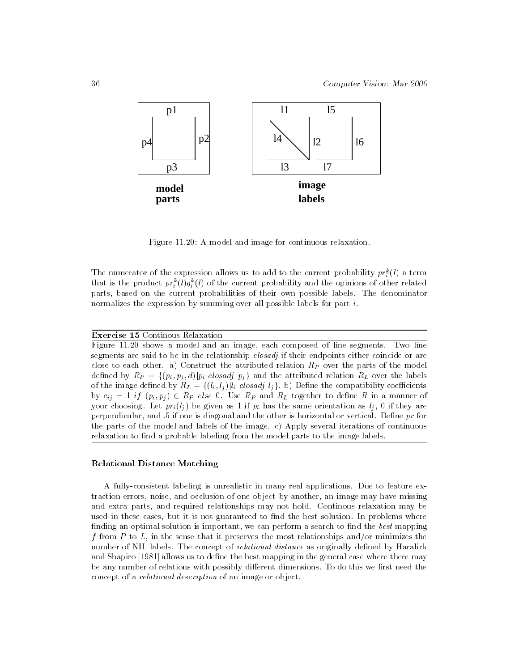

Figure 11.20: A model and image for continuous relaxation.

The numerator of the expression allows us to add to the current probability  $pr_i^{\cdot}(t)$  a term that is the product  $pr_i^*(\iota)q_i^*(\iota)$  of the current probability and the opinions of other related parts, based on the current probabilities of their own possible labels. The denominator normalizes the expression by summing over all possible labels for part i.

Exercise 15 Continous Relaxation

Figure 11.20 shows a model and an image, each composed of line segments. Two line segments are said to be in the relationship *closadj* if their endpoints either coincide or are close to each other. a) Construct the attributed relation  $R<sub>P</sub>$  over the parts of the model defined by  $R_P = \{(p_i, p_j, d)|p_i \text{ closed } j \text{ } p_j\}$  and the attributed relation  $R_L$  over the labels of the image defined by  $R_L = \{(l_i, l_j) | l_i \text{ closed } l_j \}$ . b) Define the compatibility coefficients by  $c_{ij} = 1$  if  $(p_i, p_j) \in R_P$  else 0. Use  $R_P$  and  $R_L$  together to define R in a manner of your choosing. Let  $pr_i(l_i)$  be given as 1 if  $p_i$  has the same orientation as  $l_i$ , 0 if they are perpendicular, and .5 if one is diagonal and the other is horizontal or vertical. Define pr for the parts of the model and labels of the image. c) Apply several iterations of continuous relaxation to find a probable labeling from the model parts to the image labels.

#### Relational Distance Matching

A fully-consistent labeling is unrealistic in many real applications. Due to feature extraction errors, noise, and occlusion of one object by another, an image may have missing and extra parts, and required relationships may not hold. Continous relaxation may be used in these cases, but it is not guaranteed to find the best solution. In problems where finding an optimal solution is important, we can perform a search to find the best mapping f from P to  $L$ , in the sense that it preserves the most relationships and/or minimizes the number of NIL labels. The concept of *relational distance* as originally defined by Haralick and Shapiro [1981] allows us to define the best mapping in the general case where there may be any number of relations with possibly different dimensions. To do this we first need the concept of a relational description of an image or object.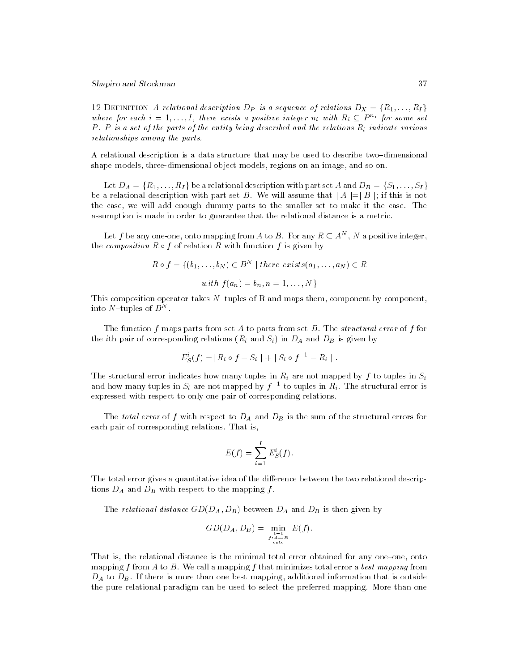12 DEFINITION A relational description D<sub>P</sub> is a sequence of relations  $D_X = \{R_1, \ldots, R_I\}$ where for each  $i = 1, \ldots, I$ , there exists a positive integer  $n_i$  with  $R_i \subseteq P^{n_i}$  for some set P. P is a set of the parts of the entity being described and the relations  $R_i$  indicate various relationships among the parts.

A relational description is a data structure that may be used to describe two-dimensional shape models, three-dimensional object models, regions on an image, and so on.

Let  $D_A = \{R_1, \ldots, R_I\}$  be a relational description with part set A and  $D_B = \{S_1, \ldots, S_I\}$ be a relation with part set B. We will assume that it as will assume that just be a j=j b; if this is not be i the case, we will add enough dummy parts to the smaller set to make it the case. The assumption is made in order to guarantee that the relational distance is a metric.

Let f be any one-one, onto mapping from A to B. For any  $R \subseteq A^{\sim}$  , iv a positive integer, the composition R <sup>f</sup> of relation <sup>R</sup> with function <sup>f</sup> is given by

$$
R \circ f = \{(b_1, \ldots, b_N) \in B^N \mid there \ exists(a_1, \ldots, a_N) \in R
$$
  
with  $f(a_n) = b_n, n = 1, \ldots, N\}$ 

This composition operator takes  $N$ -tuples of R and maps them, component by component, into  $N$  –tuples of  $B^{\top}$  .

The function f maps parts from set A to parts from set B. The *structural error* of f for the *i*th pair of corresponding relations  $(R_i \text{ and } S_i)$  in  $D_A$  and  $D_B$  is given by

$$
E_S^i(f) = | R_i \circ f - S_i | + | S_i \circ f^{-1} - R_i |.
$$

The structural error indicates how many tuples in  $R_i$  are not mapped by f to tuples in  $S_i$ and how many tuples in  $S_i$  are not mapped by  $f^{-1}$  to tuples in  $R_i$ . The structural error is expressed with respect to only one pair of corresponding relations.

The total error of f with respect to  $D_A$  and  $D_B$  is the sum of the structural errors for each pair of corresponding relations. That is,

$$
E(f) = \sum_{i=1}^{I} E_S^i(f).
$$

The total error gives a quantitative idea of the difference between the two relational descriptions  $D_A$  and  $D_B$  with respect to the mapping  $f$ .

The relational distance  $GD(D_A, D_B)$  between  $D_A$  and  $D_B$  is then given by

$$
GD(D_A, D_B) = \min_{\substack{1 \to 1 \\ f: A \to B \\ \text{onto}}} E(f).
$$

That is, the relational distance is the minimal total error obtained for any one-one, onto mapping f from A to B. We call a mapping f that minimizes total error a best mapping from  $D_A$  to  $D_B$ . If there is more than one best mapping, additional information that is outside the pure relational paradigm can be used to select the preferred mapping. More than one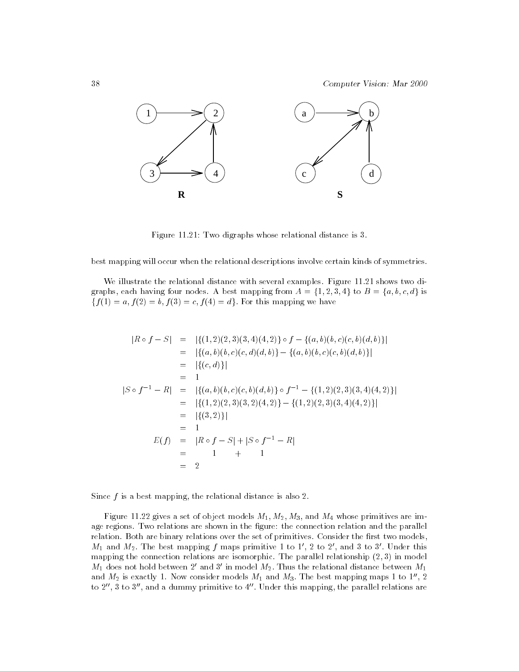

Figure 11.21: Two digraphs whose relational distance is 3.

best mapping will occur when the relational descriptions involve certain kinds of symmetries.

We illustrate the relational distance with several examples. Figure 11.21 shows two digraphs, each having four nodes. A best mapping from  $A = \{1, 2, 3, 4\}$  to  $B = \{a, b, c, d\}$  is  $f(f(1) = a, f(2) = b, f(3) = c, f(4) = d$ . For this mapping we have

$$
|R \circ f - S| = |\{(1, 2)(2, 3)(3, 4)(4, 2)\} \circ f - \{(a, b)(b, c)(c, b)(d, b)\}|
$$
  
\n
$$
= |\{(a, b)(b, c)(c, d)(d, b)\} - \{(a, b)(b, c)(c, b)(d, b)\}|
$$
  
\n
$$
= |\{(c, d)\}|
$$
  
\n
$$
|S \circ f^{-1} - R| = |\{(a, b)(b, c)(c, b)(d, b)\} \circ f^{-1} - \{(1, 2)(2, 3)(3, 4)(4, 2)\}|
$$
  
\n
$$
= |\{(1, 2)(2, 3)(3, 2)(4, 2)\} - \{(1, 2)(2, 3)(3, 4)(4, 2)\}|
$$
  
\n
$$
= |\{(3, 2)\}|
$$
  
\n
$$
= 1
$$
  
\n
$$
E(f) = |R \circ f - S| + |S \circ f^{-1} - R|
$$
  
\n
$$
= 1 + 1
$$
  
\n
$$
= 2
$$

Since  $f$  is a best mapping, the relational distance is also 2.

Figure 11.22 gives a set of object models  $M_1, M_2, M_3$ , and  $M_4$  whose primitives are image regions. Two relations are shown in the figure: the connection relation and the parallel relation. Both are binary relations over the set of primitives. Consider the first two models,  $M_1$  and  $M_2$ . The best mapping f maps primitive 1 to 1', 2 to 2', and 3 to 3'. Under this mapping the connection relations are isomorphic. The parallel relationship  $(2, 3)$  in model  $M_1$  does not hold between 2' and 3' in model  $M_2$ . Thus the relational distance between  $M_1$ and  $M_2$  is exactly 1. Now consider models  $M_1$  and  $M_3$ . The best mapping maps 1 to 1", 2 to  $2^{\prime\prime}$ , 3 to  $3^{\prime\prime}$ , and a dummy primitive to  $4^{\prime\prime}$ . Under this mapping, the parallel relations are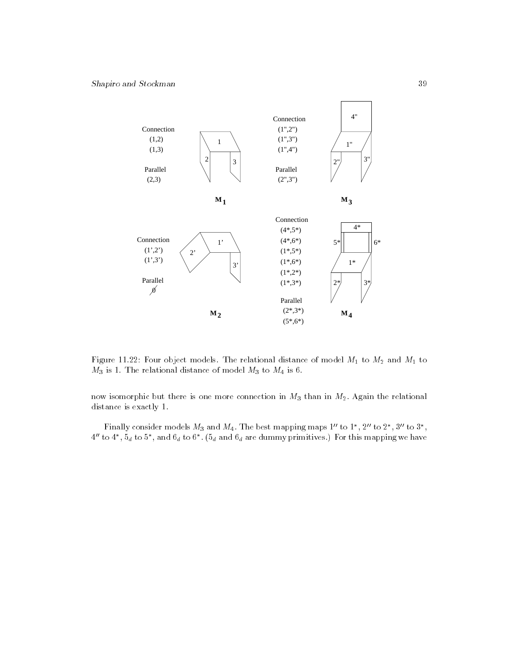

Figure 11.22: Four object models. The relational distance of model  $M_1$  to  $M_2$  and  $M_1$  to  $M_3$  is 1. The relational distance of model  $M_3$  to  $M_4$  is 6.

now isomorphic but there is one more connection in  $M_3$  than in  $M_2$ . Again the relational distance is exactly 1.

Finally consider models  $M_3$  and  $M_4$ . The best mapping maps 1'' to 1<sup>\*</sup>, 2'' to 2<sup>\*</sup>, 3'' to 3<sup>\*</sup>,  $4''$  to  $4^*$ ,  $5_d$  to  $5^*$ , and  $6_d$  to  $6^*$ .  $(5_d$  and  $6_d$  are dummy primitives.) For this mapping we have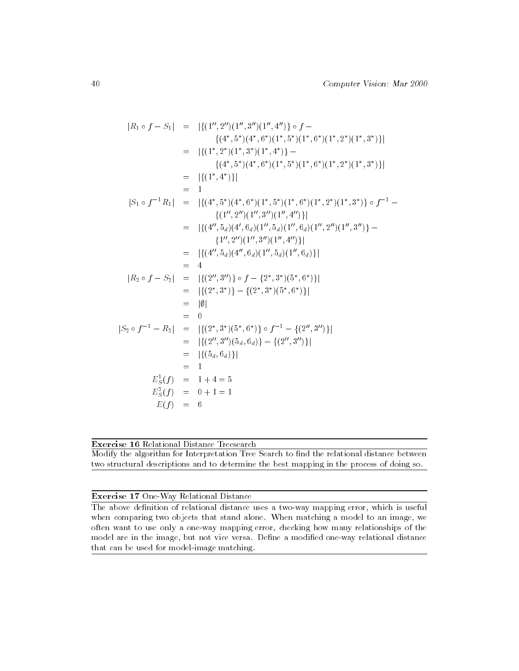$$
|R_1 \circ f - S_1| = | \{ (1'', 2'') (1'', 3'') (1'', 4'') \} \circ f -
$$
  
\n
$$
\{ (4^*, 5^*)(4^*, 6^*)(1^*, 5^*)(1^*, 6^*)(1^*, 2^*)(1^*, 3^*) \} |
$$
  
\n
$$
= | \{ (1^*, 2^*)(1^*, 3^*)(1^*, 4^*) \} -
$$
  
\n
$$
\{ (4^*, 5^*)(4^*, 6^*)(1^*, 5^*)(1^*, 6^*)(1^*, 2^*)(1^*, 3^*) \} |
$$
  
\n
$$
= | \{ (1^*, 4^*) \} |
$$
  
\n
$$
= |
$$
  
\n
$$
|S_1 \circ f^{-1}R_1| = | \{ (4^*, 5^*)(4^*, 6^*)(1^*, 5^*)(1^*, 6^*)(1^*, 2^*)(1^*, 3^*) \} \circ f^{-1} -
$$
  
\n
$$
\{ (1'', 2'') (1'', 3'') (1'', 4'') \} |
$$
  
\n
$$
= | \{ (4'', 5_d) (4', 6_d) (1'', 5_d) (1'', 6_d) (1'', 2'') (1'', 3'') \} -
$$
  
\n
$$
= | \{ (4'', 5_d) (4'', 6_d) (1'', 5_d) (1'', 6_d) \} |
$$
  
\n
$$
= | \{ (2'', 3'') \} \circ f - \{ 2^*, 3^*)(5^*, 6^*) \} |
$$
  
\n
$$
= | \{ (2^*, 3^*) \} - \{ (2^*, 3^*)(5^*, 6^*) \} |
$$
  
\n
$$
= | \{ (2^*, 3^*)(5_d, 6_d) \} - \{ (2'', 3'') \} |
$$
  
\n
$$
= | \{ (2'', 3'') (5_d, 6_d) \} - \{ (2'', 3'') \} |
$$
  
\n
$$
= | \{ (5_d, 6_d) \} |
$$
  
\n
$$
= 1
$$
  
\n
$$
E_5^2(f) = 1 + 4 = 5
$$
  
\n
$$
E_5^2(f) = 0 + 1 = 1
$$
<

## Exercise 16 Relational Distance Treesearch

Modify the algorithm for Interpretation Tree Search to find the relational distance between two structural descriptions and to determine the best mapping in the process of doing so.

## Exercise 17 One-Way Relational Distance

The above definition of relational distance uses a two-way mapping error, which is useful when comparing two objects that stand alone. When matching a model to an image, we often want to use only a one-way mapping error, checking how many relationships of the model are in the image, but not vice versa. Define a modified one-way relational distance that can be used for model-image matching.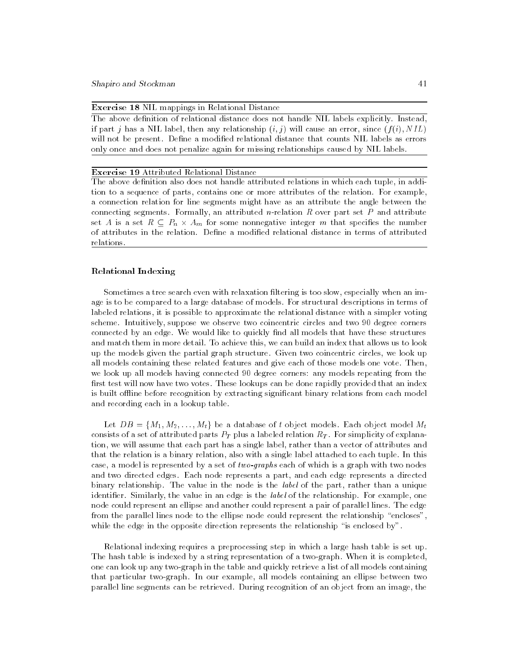Exercise 18 NIL mappings in Relational Distance

The above definition of relational distance does not handle NIL labels explicitly. Instead, if part j has a NIL label, then any relationship  $(i, j)$  will cause an error, since  $(f(i), NIL)$ will not be present. Define a modified relational distance that counts NIL labels as errors only once and does not penalize again for missing relationships caused by NIL labels.

#### Exercise 19 Attributed Relational Distance

The above definition also does not handle attributed relations in which each tuple, in addition to a sequence of parts, contains one or more attributes of the relation. For example, a connection relation for line segments might have as an attribute the angle between the connecting segments. Formally, an attributed *n*-relation  $R$  over part set  $P$  and attribute set as some non-negative  $\eta_i$  is a set of some nonnegative integer m that specific integers that specific of attributes in the relation. Define a modified relational distance in terms of attributed relations.

#### Relational Indexing

Sometimes a tree search even with relaxation filtering is too slow, especially when an image is to be compared to a large database of models. For structural descriptions in terms of labeled relations, it is possible to approximate the relational distance with a simpler voting scheme. Intuitively, suppose we observe two coincentric circles and two 90 degree corners connected by an edge. We would like to quickly find all models that have these structures and match them in more detail. To achieve this, we can build an index that allows us to look up the models given the partial graph structure. Given two coincentric circles, we look up all models containing these related features and give each of those models one vote. Then, we look up all models having connected 90 degree corners: any models repeating from the first test will now have two votes. These lookups can be done rapidly provided that an index is built offline before recognition by extracting significant binary relations from each model and recording each in a lookup table.

Let  $DB = \{M_1, M_2, \ldots, M_t\}$  be a database of t object models. Each object model  $M_t$ consists of a set of attributed parts  $P_T$  plus a labeled relation  $R_T$ . For simplicity of explanation, we will assume that each part has a single label, rather than a vector of attributes and that the relation is a binary relation, also with a single label attached to each tuple. In this case, a model is represented by a set of two-graphs each of which is a graph with two nodes and two directed edges. Each node represents a part, and each edge represents a directed binary relationship. The value in the node is the *label* of the part, rather than a unique identifier. Similarly, the value in an edge is the *label* of the relationship. For example, one node could represent an ellipse and another could represent a pair of parallel lines. The edge from the parallel lines node to the ellipse node could represent the relationship "encloses", while the edge in the opposite direction represents the relationship "is enclosed by".

Relational indexing requires a preprocessing step in which a large hash table is set up. The hash table is indexed by a string representation of a two-graph. When it is completed, one can look up any two-graph in the table and quickly retrieve a list of all models containing that particular two-graph. In our example, all models containing an ellipse between two parallel line segments can be retrieved. During recognition of an object from an image, the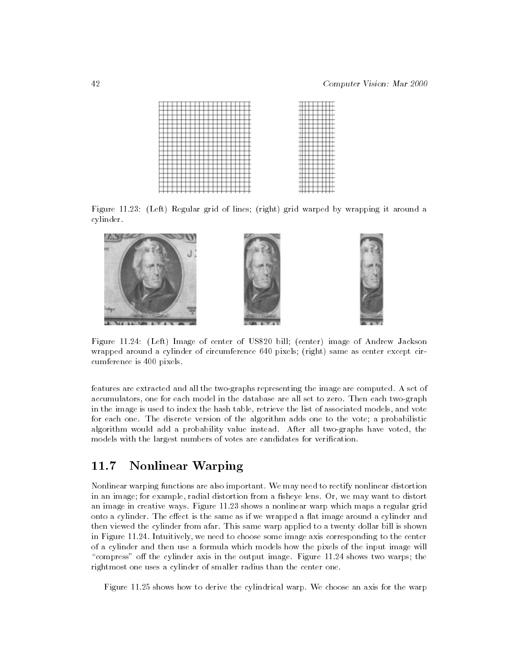|  |  |  |  |  |  |  |   |   | $-1$          |
|--|--|--|--|--|--|--|---|---|---------------|
|  |  |  |  |  |  |  |   |   |               |
|  |  |  |  |  |  |  | ۰ | ۰ |               |
|  |  |  |  |  |  |  |   |   |               |
|  |  |  |  |  |  |  | - |   | -             |
|  |  |  |  |  |  |  |   |   |               |
|  |  |  |  |  |  |  | - |   | -             |
|  |  |  |  |  |  |  |   |   | $-1$          |
|  |  |  |  |  |  |  |   |   |               |
|  |  |  |  |  |  |  |   |   | -             |
|  |  |  |  |  |  |  |   |   |               |
|  |  |  |  |  |  |  | - |   | -<br>-        |
|  |  |  |  |  |  |  |   |   |               |
|  |  |  |  |  |  |  |   |   |               |
|  |  |  |  |  |  |  |   |   | -             |
|  |  |  |  |  |  |  | т |   |               |
|  |  |  |  |  |  |  |   | ۰ |               |
|  |  |  |  |  |  |  |   |   |               |
|  |  |  |  |  |  |  |   |   |               |
|  |  |  |  |  |  |  | - |   | -             |
|  |  |  |  |  |  |  |   |   |               |
|  |  |  |  |  |  |  |   |   | $-$           |
|  |  |  |  |  |  |  |   |   |               |
|  |  |  |  |  |  |  | ۰ |   |               |
|  |  |  |  |  |  |  | ۰ |   | --            |
|  |  |  |  |  |  |  |   |   |               |
|  |  |  |  |  |  |  |   |   | $-$           |
|  |  |  |  |  |  |  |   |   |               |
|  |  |  |  |  |  |  |   |   | --            |
|  |  |  |  |  |  |  |   | ۰ | $+1$          |
|  |  |  |  |  |  |  |   |   |               |
|  |  |  |  |  |  |  | - |   | $\frac{1}{2}$ |
|  |  |  |  |  |  |  |   |   | ᠇             |

Figure 11.23: (Left) Regular grid of lines; (right) grid warped by wrapping it around a cylinder.



Figure 11.24: (Left) Image of center of US\$20 bill; (center) image of Andrew Jackson wrapped around a cylinder of circumference 640 pixels; (right) same as center except circumference is 400 pixels.

features are extracted and all the two-graphs representing the image are computed. A set of accumulators, one for each model in the database are all set to zero. Then each two-graph in the image is used to index the hash table, retrieve the list of associated models, and vote for each one. The discrete version of the algorithm adds one to the vote; a probabilistic algorithm would add a probability value instead. After all two-graphs have voted, the models with the largest numbers of votes are candidates for verification.

## 11.7 Nonlinear Warping

Nonlinear warping functions are also important. We may need to rectify nonlinear distortion in an image; for example, radial distortion from a fisheye lens. Or, we may want to distort an image in creative ways. Figure 11.23 shows a nonlinear warp which maps a regular grid onto a cylinder. The effect is the same as if we wrapped a flat image around a cylinder and then viewed the cylinder from afar. This same warp applied to a twenty dollar bill is shown in Figure 11.24. Intuitively, we need to choose some image axis corresponding to the center of a cylinder and then use a formula which models how the pixels of the input image will "compress" off the cylinder axis in the output image. Figure  $11.24$  shows two warps; the rightmost one uses a cylinder of smaller radius than the center one.

Figure 11.25 shows how to derive the cylindrical warp. We choose an axis for the warp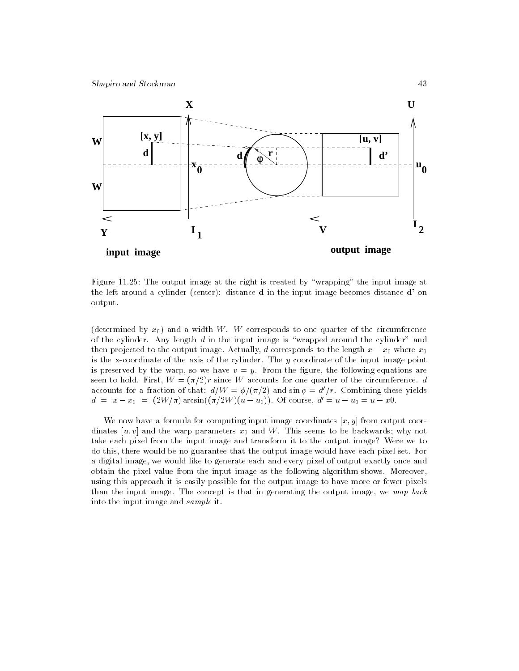

Figure 11.25: The output image at the right is created by "wrapping" the input image at the left around a cylinder (center): distance d in the input image becomes distance d' on output.

(determined by  $x_0$ ) and a width W. W corresponds to one quarter of the circumference of the cylinder. Any length  $d$  in the input image is "wrapped around the cylinder" and then projected to the output image. Actually, d corresponds to the length x x0 where x0 is the x-coordinate of the axis of the cylinder. The y coordinate of the input image point is preserved by the warp, so we have  $v = y$ . From the figure, the following equations are seen to hold. First,  $W = (\pi/2)r$  since W accounts for one quarter of the circumference. d accounts for a fraction of that:  $d/W = \phi/(\pi/2)$  and  $\sin \phi = d'/r$ . Combining these yields  $d = x - x_0 = (2W/\pi) \arcsin((\pi/2W)(u - u_0))$ . Of course,  $d' = u - u_0 = u - x0$ .

We now have a formula for computing input image coordinates  $[x, y]$  from output coordinates [u, v] and the warp parameters  $x_0$  and W. This seems to be backwards; why not take each pixel from the input image and transform it to the output image? Were we to do this, there would be no guarantee that the output image would have each pixel set. For a digital image, we would like to generate each and every pixel of output exactly once and obtain the pixel value from the input image as the following algorithm shows. Moreover, using this approach it is easily possible for the output image to have more or fewer pixels than the input image. The concept is that in generating the output image, we map back into the input image and sample it.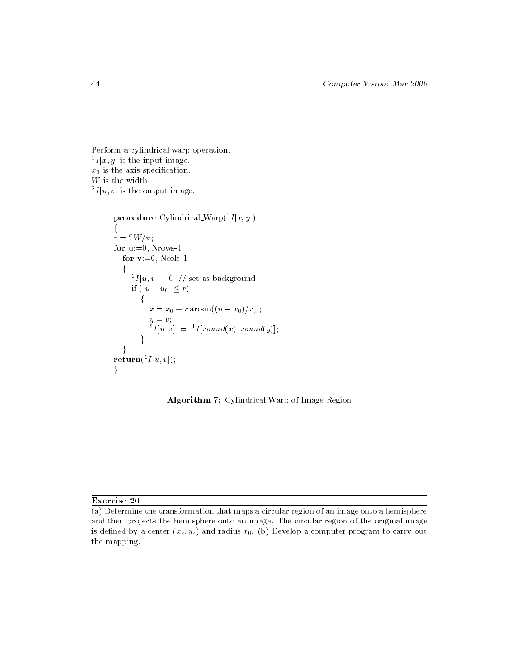Perform a cylindrical warp operation.  ${}^{1}I[x, y]$  is the input image.  $x_0$  is the axis specification.  $\boldsymbol{W}$  is the width.  $^{2}I[u, v]$  is the output image. procedure Cylindrical Warp $({}^{1}I[x, y])$  $\{$  $r = 2W/\pi;$ for  $u:=0$ , Nrows-1 for  $v:=0$ , Ncols-1  $\int_{0}^{1} f[u, v] = 0$ ; // set as background if  $(|u - u_0| \leq r)$ for the contract of the contract of  $\sim$   $\sim$  0 +  $\sim$  arcsing((u)=  $\sim$  0  $\mu$  ;  $\mu$  $\int_{a}^{g} I[u, v] = {}^{1}I[round(x), round(y)];$  $\mathcal{F}$  $\}$  $\mathbf{return}(^{2}I[u, v]);$  $\}$ 

Algorithm 7: Cylindrical Warp of Image Region

## Exercise 20

(a) Determine the transformation that maps a circular region of an image onto a hemisphere and then projects the hemisphere onto an image. The circular region of the original image is defined by a center  $(x_c, y_c)$  and radius  $r_0$ . (b) Develop a computer program to carry out the mapping.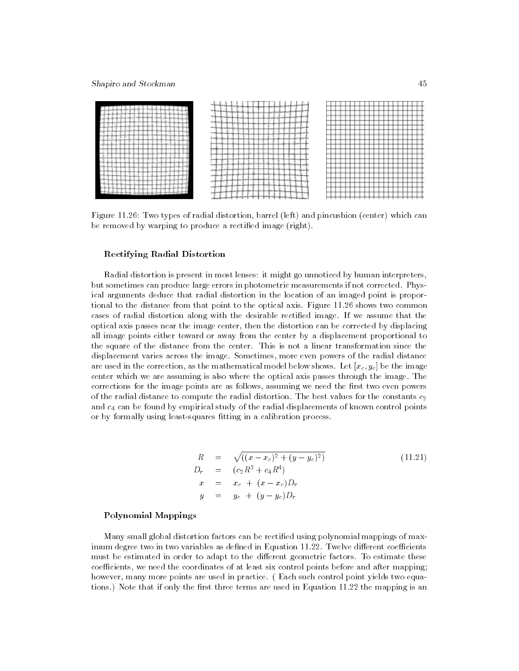## Shapiro and Stockman 45



Figure 11.26: Two types of radial distortion, barrel (left) and pincushion (center) which can be removed by warping to produce a rectified image (right).

#### Rectifying Radial Distortion

Radial distortion is present in most lenses: it might go unnoticed by human interpreters, but sometimes can produce large errors in photometric measurements if not corrected. Physical arguments deduce that radial distortion in the location of an imaged point is proportional to the distance from that point to the optical axis. Figure 11.26 shows two common cases of radial distortion along with the desirable rectied image. If we assume that the optical axis passes near the image center, then the distortion can be corrected by displacing all image points either toward or away from the center by a displacement proportional to the square of the distance from the center. This is not a linear transformation since the displacement varies across the image. Sometimes, more even powers of the radial distance are used in the correction, as the mathematical model below shows. Let  $[x_c, y_c]$  be the image center which we are assuming is also where the optical axis passes through the image. The corrections for the image points are as follows, assuming we need the first two even powers of the radial distance to compute the radial distortion. The best values for the constants  $c_2$ and  $c_4$  can be found by empirical study of the radial displacements of known control points or by formally using least-squares fitting in a calibration process.

$$
R = \sqrt{((x - x_c)^2 + (y - y_c)^2)}
$$
  
\n
$$
D_r = (c_2 R^2 + c_4 R^4)
$$
  
\n
$$
x = x_c + (x - x_c) D_r
$$
  
\n
$$
y = y_c + (y - y_c) D_r
$$
  
\n(11.21)

#### Polynomial Mappings

Many small global distortion factors can be rectied using polynomial mappings of maximum degree two in two variables as defined in Equation  $11.22$ . Twelve different coefficients must be estimated in order to adapt to the different geometric factors. To estimate these coefficients, we need the coordinates of at least six control points before and after mapping; however, many more points are used in practice. (Each such control point yields two equations.) Note that if only the first three terms are used in Equation 11.22 the mapping is an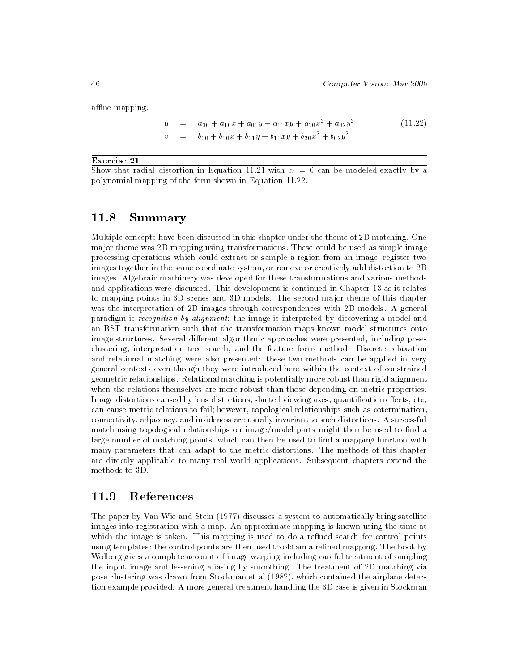affine mapping.

$$
u = a_{00} + a_{10}x + a_{01}y + a_{11}xy + a_{20}x^2 + a_{02}y^2
$$
  
\n
$$
v = b_{00} + b_{10}x + b_{01}y + b_{11}xy + b_{20}x^2 + b_{02}y^2
$$
\n(11.22)

#### Exercise 21

Show that radial distortion in Equation 11.21 with  $c_4 = 0$  can be modeled exactly by a polynomial mapping of the form shown in Equation 11.22.

## 11.8 Summary

Multiple concepts have been discussed in this chapter under the theme of 2D matching. One major theme was 2D mapping using transformations. These could be used as simple image processing operations which could extract or sample a region from an image, register two images together in the same coordinate system, or remove or creatively add distortion to 2D images. Algebraic machinery was developed for these transformations and various methods and applications were discussed. This development is continued in Chapter 13 as it relates to mapping points in 3D scenes and 3D models. The second major theme of this chapter was the interpretation of 2D images through correspondences with 2D models. A general paradigm is recognition-by-alignment: the image is interpreted by discovering a model and an RST transformation such that the transformation maps known model structures onto image structures. Several different algorithmic approaches were presented, including poseclustering, interpretation tree search, and the feature focus method. Discrete relaxation and relational matching were also presented: these two methods can be applied in very general contexts even though they were introduced here within the context of constrained geometric relationships. Relational matching is potentially more robust than rigid alignment when the relations themselves are more robust than those depending on metric properties. Image distortions caused by lens distortions, slanted viewing axes, quantification effects, etc, can cause metric relations to fail; however, topological relationships such as cotermination, connectivity, adjacency, and insideness are usually invariant to such distortions. A successful match using topological relationships on image/model parts might then be used to find a large number of matching points, which can then be used to find a mapping function with many parameters that can adapt to the metric distortions. The methods of this chapter are directly applicable to many real world applications. Subsequent chapters extend the methods to 3D.

## 11.9 References

The paper by Van Wie and Stein (1977) discusses a system to automatically bring satellite images into registration with a map. An approximate mapping is known using the time at which the image is taken. This mapping is used to do a refined search for control points using templates: the control points are then used to obtain a refined mapping. The book by Wolberg gives a complete account of image warping including careful treatment of sampling the input image and lessening aliasing by smoothing. The treatment of 2D matching via pose clustering was drawn from Stockman et al (1982), which contained the airplane detection example provided. A more general treatment handling the 3D case is given in Stockman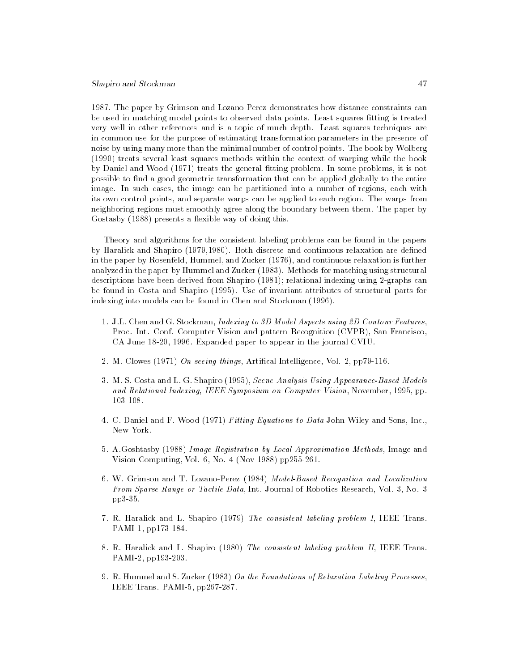### Shapiro and Stockman 47

1987. The paper by Grimson and Lozano-Perez demonstrates how distance constraints can be used in matching model points to observed data points. Least squares fitting is treated very well in other references and is a topic of much depth. Least squares techniques are in common use for the purpose of estimating transformation parameters in the presence of noise by using many more than the minimal number of control points. The book by Wolberg (1990) treats several least squares methods within the context of warping while the book by Daniel and Wood (1971) treats the general fitting problem. In some problems, it is not possible to find a good geometric transformation that can be applied globally to the entire image. In such cases, the image can be partitioned into a number of regions, each with its own control points, and separate warps can be applied to each region. The warps from neighboring regions must smoothly agree along the boundary between them. The paper by Gostasby (1988) presents a flexible way of doing this.

Theory and algorithms for the consistent labeling problems can be found in the papers by Haralick and Shapiro (1979,1980). Both discrete and continuous relaxation are defined in the paper by Rosenfeld, Hummel, and Zucker (1976), and continuous relaxation is further analyzed in the paper by Hummel and Zucker (1983). Methods for matching using structural descriptions have been derived from Shapiro (1981); relational indexing using 2-graphs can be found in Costa and Shapiro (1995). Use of invariant attributes of structural parts for indexing into models can be found in Chen and Stockman (1996).

- 1. J.L. Chen and G. Stockman, Indexing to 3D Model Aspects using 2D Contour Features, Proc. Int. Conf. Computer Vision and pattern Recognition (CVPR), San Francisco, CA June 18-20, 1996. Expanded paper to appear in the journal CVIU.
- 2. M. Clowes (1971) On seeing things, Artifical Intelligence, Vol. 2, pp79-116.
- 3. M. S. Costa and L. G. Shapiro (1995), Scene Analysis Using Appearance-Based Models and Relational Indexing, IEEE Symposium on Computer Vision, November, 1995, pp. 103-108.
- 4. C. Daniel and F. Wood (1971) Fitting Equations to Data John Wiley and Sons, Inc., New York.
- 5. A.Goshtasby (1988) Image Registration by Local Approximation Methods, Image and Vision Computing, Vol. 6, No. 4 (Nov 1988) pp255-261.
- 6. W. Grimson and T. Lozano-Perez (1984) Model-Based Recognition and Localization From Sparse Range or Tactile Data, Int. Journal of Robotics Research, Vol. 3, No. 3 pp3-35.
- 7. R. Haralick and L. Shapiro (1979) The consistent labeling problem I, IEEE Trans. PAMI-1, pp173-184.
- 8. R. Haralick and L. Shapiro (1980) The consistent labeling problem II, IEEE Trans. PAMI-2, pp193-203.
- 9. R. Hummel and S. Zucker (1983) On the Foundations of Relaxation Labeling Processes, IEEE Trans. PAMI-5, pp267-287.